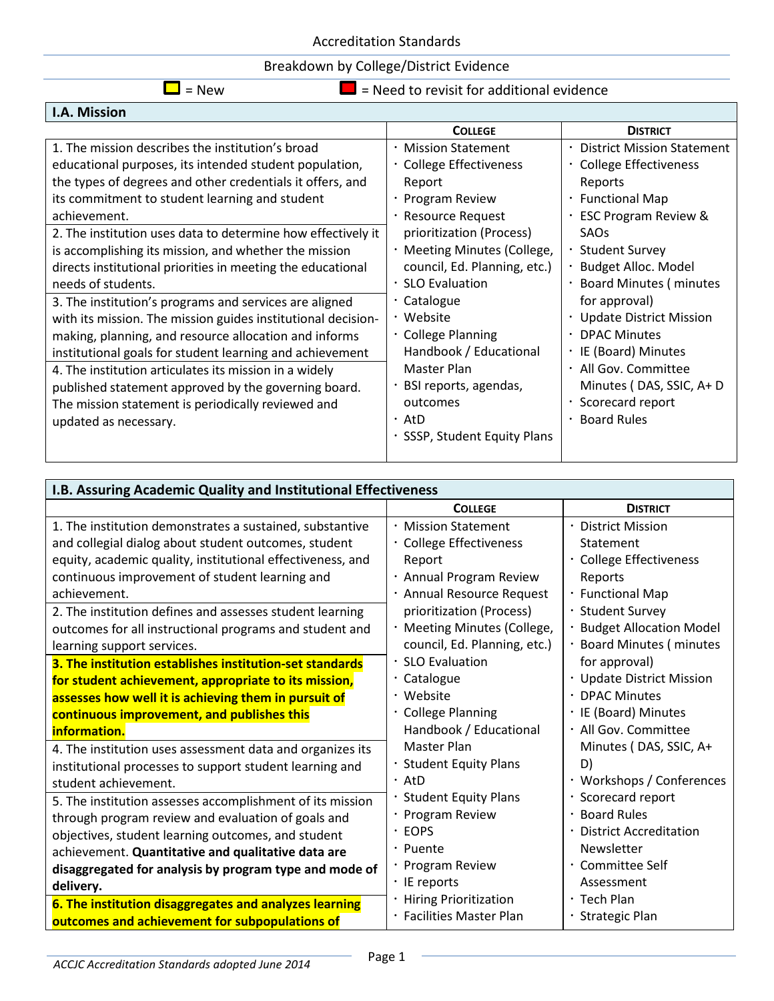### Breakdown by College/District Evidence

 $\Box$  = New  $\Box$  = Need to revisit for additional evidence

| I.A. Mission                                                 |                              |                                   |
|--------------------------------------------------------------|------------------------------|-----------------------------------|
|                                                              | <b>COLLEGE</b>               | <b>DISTRICT</b>                   |
| 1. The mission describes the institution's broad             | · Mission Statement          | <b>District Mission Statement</b> |
| educational purposes, its intended student population,       | · College Effectiveness      | · College Effectiveness           |
| the types of degrees and other credentials it offers, and    | Report                       | Reports                           |
| its commitment to student learning and student               | · Program Review             | • Functional Map                  |
| achievement.                                                 | · Resource Request           | <b>ESC Program Review &amp;</b>   |
| 2. The institution uses data to determine how effectively it | prioritization (Process)     | SAO <sub>S</sub>                  |
| is accomplishing its mission, and whether the mission        | · Meeting Minutes (College,  | · Student Survey                  |
| directs institutional priorities in meeting the educational  | council, Ed. Planning, etc.) | · Budget Alloc. Model             |
| needs of students.                                           | · SLO Evaluation             | <b>Board Minutes (minutes</b>     |
| 3. The institution's programs and services are aligned       | $\cdot$ Catalogue            | for approval)                     |
| with its mission. The mission guides institutional decision- | • Website                    | · Update District Mission         |
| making, planning, and resource allocation and informs        | · College Planning           | $\cdot$ DPAC Minutes              |
| institutional goals for student learning and achievement     | Handbook / Educational       | · IE (Board) Minutes              |
| 4. The institution articulates its mission in a widely       | Master Plan                  | · All Gov. Committee              |
| published statement approved by the governing board.         | · BSI reports, agendas,      | Minutes (DAS, SSIC, A+D           |
| The mission statement is periodically reviewed and           | outcomes                     | · Scorecard report                |
| updated as necessary.                                        | ・AtD                         | <b>Board Rules</b>                |
|                                                              | · SSSP, Student Equity Plans |                                   |

| I.B. Assuring Academic Quality and Institutional Effectiveness |                               |                               |
|----------------------------------------------------------------|-------------------------------|-------------------------------|
|                                                                | <b>COLLEGE</b>                | <b>DISTRICT</b>               |
| 1. The institution demonstrates a sustained, substantive       | <b>Mission Statement</b>      | · District Mission            |
| and collegial dialog about student outcomes, student           | · College Effectiveness       | Statement                     |
| equity, academic quality, institutional effectiveness, and     | Report                        | · College Effectiveness       |
| continuous improvement of student learning and                 | · Annual Program Review       | Reports                       |
| achievement.                                                   | · Annual Resource Request     | · Functional Map              |
| 2. The institution defines and assesses student learning       | prioritization (Process)      | · Student Survey              |
| outcomes for all instructional programs and student and        | · Meeting Minutes (College,   | · Budget Allocation Model     |
| learning support services.                                     | council, Ed. Planning, etc.)  | · Board Minutes ( minutes     |
| 3. The institution establishes institution-set standards       | · SLO Evaluation              | for approval)                 |
| for student achievement, appropriate to its mission,           | $\cdot$ Catalogue             | · Update District Mission     |
| assesses how well it is achieving them in pursuit of           | • Website                     | · DPAC Minutes                |
| continuous improvement, and publishes this                     | · College Planning            | · IE (Board) Minutes          |
| information.                                                   | Handbook / Educational        | · All Gov. Committee          |
| 4. The institution uses assessment data and organizes its      | <b>Master Plan</b>            | Minutes (DAS, SSIC, A+        |
| institutional processes to support student learning and        | <b>Student Equity Plans</b>   | D)                            |
| student achievement.                                           | $\cdot$ AtD                   | · Workshops / Conferences     |
| 5. The institution assesses accomplishment of its mission      | <b>Student Equity Plans</b>   | · Scorecard report            |
| through program review and evaluation of goals and             | · Program Review              | • Board Rules                 |
| objectives, student learning outcomes, and student             | <b>EOPS</b>                   | <b>District Accreditation</b> |
| achievement. Quantitative and qualitative data are             | · Puente                      | Newsletter                    |
| disaggregated for analysis by program type and mode of         | · Program Review              | · Committee Self              |
| delivery.                                                      | $\cdot$ IE reports            | Assessment                    |
| 6. The institution disaggregates and analyzes learning         | <b>Hiring Prioritization</b>  | $\cdot$ Tech Plan             |
| outcomes and achievement for subpopulations of                 | <b>Facilities Master Plan</b> | <b>Strategic Plan</b>         |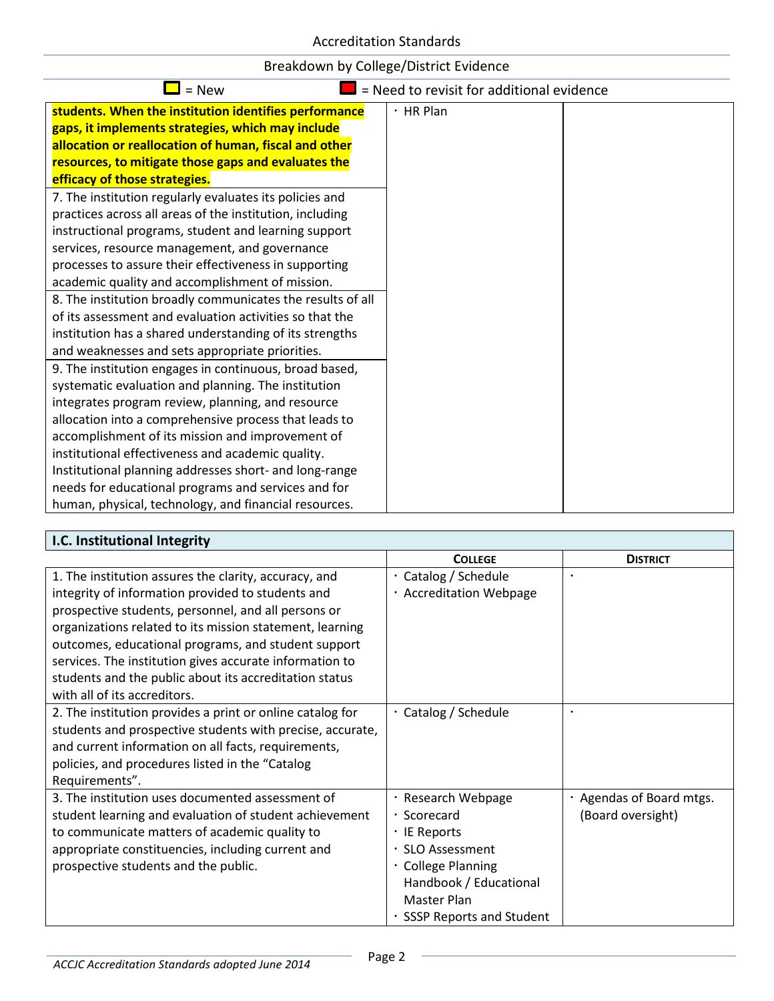| Breakdown by College/District Evidence |
|----------------------------------------|
|----------------------------------------|

| $=$ New                                                    | = Need to revisit for additional evidence |  |
|------------------------------------------------------------|-------------------------------------------|--|
| students. When the institution identifies performance      | $·$ HR Plan                               |  |
| gaps, it implements strategies, which may include          |                                           |  |
| allocation or reallocation of human, fiscal and other      |                                           |  |
| resources, to mitigate those gaps and evaluates the        |                                           |  |
| efficacy of those strategies.                              |                                           |  |
| 7. The institution regularly evaluates its policies and    |                                           |  |
| practices across all areas of the institution, including   |                                           |  |
| instructional programs, student and learning support       |                                           |  |
| services, resource management, and governance              |                                           |  |
| processes to assure their effectiveness in supporting      |                                           |  |
| academic quality and accomplishment of mission.            |                                           |  |
| 8. The institution broadly communicates the results of all |                                           |  |
| of its assessment and evaluation activities so that the    |                                           |  |
| institution has a shared understanding of its strengths    |                                           |  |
| and weaknesses and sets appropriate priorities.            |                                           |  |
| 9. The institution engages in continuous, broad based,     |                                           |  |
| systematic evaluation and planning. The institution        |                                           |  |
| integrates program review, planning, and resource          |                                           |  |
| allocation into a comprehensive process that leads to      |                                           |  |
| accomplishment of its mission and improvement of           |                                           |  |
| institutional effectiveness and academic quality.          |                                           |  |
| Institutional planning addresses short- and long-range     |                                           |  |
| needs for educational programs and services and for        |                                           |  |
| human, physical, technology, and financial resources.      |                                           |  |

| I.C. Institutional Integrity                              |                                 |                        |
|-----------------------------------------------------------|---------------------------------|------------------------|
|                                                           | <b>COLLEGE</b>                  | <b>DISTRICT</b>        |
| 1. The institution assures the clarity, accuracy, and     | · Catalog / Schedule            |                        |
| integrity of information provided to students and         | · Accreditation Webpage         |                        |
| prospective students, personnel, and all persons or       |                                 |                        |
| organizations related to its mission statement, learning  |                                 |                        |
| outcomes, educational programs, and student support       |                                 |                        |
| services. The institution gives accurate information to   |                                 |                        |
| students and the public about its accreditation status    |                                 |                        |
| with all of its accreditors.                              |                                 |                        |
| 2. The institution provides a print or online catalog for | Catalog / Schedule              |                        |
| students and prospective students with precise, accurate, |                                 |                        |
| and current information on all facts, requirements,       |                                 |                        |
| policies, and procedures listed in the "Catalog           |                                 |                        |
| Requirements".                                            |                                 |                        |
| 3. The institution uses documented assessment of          | · Research Webpage              | Agendas of Board mtgs. |
| student learning and evaluation of student achievement    | · Scorecard                     | (Board oversight)      |
| to communicate matters of academic quality to             | · IE Reports                    |                        |
| appropriate constituencies, including current and         | · SLO Assessment                |                        |
| prospective students and the public.                      | · College Planning              |                        |
|                                                           | Handbook / Educational          |                        |
|                                                           | Master Plan                     |                        |
|                                                           | <b>SSSP Reports and Student</b> |                        |

٦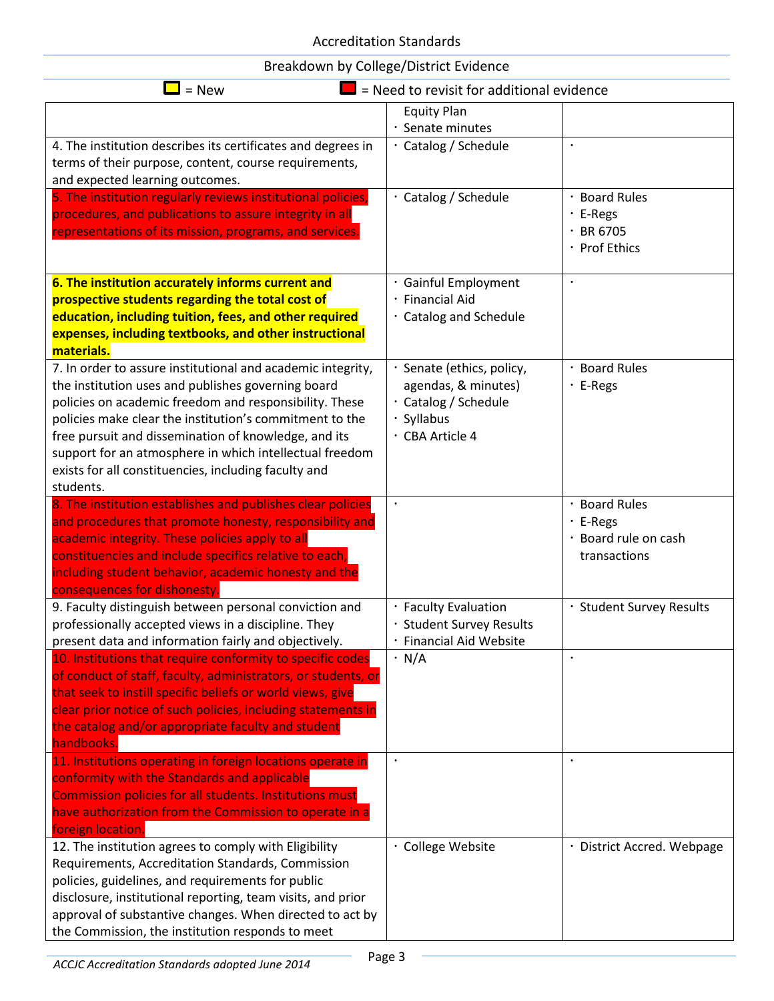| = Need to revisit for additional evidence<br>$=$ New                                                                                                                                                                                                                                                                                                                                                                           |                                                                                                           |                                                                         |
|--------------------------------------------------------------------------------------------------------------------------------------------------------------------------------------------------------------------------------------------------------------------------------------------------------------------------------------------------------------------------------------------------------------------------------|-----------------------------------------------------------------------------------------------------------|-------------------------------------------------------------------------|
|                                                                                                                                                                                                                                                                                                                                                                                                                                | <b>Equity Plan</b>                                                                                        |                                                                         |
| 4. The institution describes its certificates and degrees in<br>terms of their purpose, content, course requirements,<br>and expected learning outcomes.                                                                                                                                                                                                                                                                       | Senate minutes<br>· Catalog / Schedule                                                                    |                                                                         |
| 5. The institution regularly reviews institutional policies,<br>procedures, and publications to assure integrity in all<br>representations of its mission, programs, and services.                                                                                                                                                                                                                                             | · Catalog / Schedule                                                                                      | · Board Rules<br>· E-Regs<br>$\cdot$ BR 6705<br>· Prof Ethics           |
| 6. The institution accurately informs current and<br>prospective students regarding the total cost of<br>education, including tuition, fees, and other required<br>expenses, including textbooks, and other instructional<br>materials.                                                                                                                                                                                        | · Gainful Employment<br>· Financial Aid<br>· Catalog and Schedule                                         |                                                                         |
| 7. In order to assure institutional and academic integrity,<br>the institution uses and publishes governing board<br>policies on academic freedom and responsibility. These<br>policies make clear the institution's commitment to the<br>free pursuit and dissemination of knowledge, and its<br>support for an atmosphere in which intellectual freedom<br>exists for all constituencies, including faculty and<br>students. | · Senate (ethics, policy,<br>agendas, & minutes)<br>· Catalog / Schedule<br>· Syllabus<br>· CBA Article 4 | · Board Rules<br>$\cdot$ E-Regs                                         |
| 8. The institution establishes and publishes clear policies<br>and procedures that promote honesty, responsibility and<br>academic integrity. These policies apply to all<br>constituencies and include specifics relative to each,<br>including student behavior, academic honesty and the<br>consequences for dishonesty                                                                                                     | $\bullet$                                                                                                 | · Board Rules<br>$\cdot$ E-Regs<br>· Board rule on cash<br>transactions |
| 9. Faculty distinguish between personal conviction and<br>professionally accepted views in a discipline. They<br>present data and information fairly and objectively.                                                                                                                                                                                                                                                          | · Faculty Evaluation<br>· Student Survey Results<br>· Financial Aid Website                               | · Student Survey Results                                                |
| 10. Institutions that require conformity to specific codes<br>of conduct of staff, faculty, administrators, or students, or<br>that seek to instill specific beliefs or world views, give<br>clear prior notice of such policies, including statements in<br>the catalog and/or appropriate faculty and student<br>handbooks.                                                                                                  | $\cdot$ N/A                                                                                               |                                                                         |
| 11. Institutions operating in foreign locations operate in<br>conformity with the Standards and applicable<br>Commission policies for all students. Institutions must<br>have authorization from the Commission to operate in a<br>foreign location.                                                                                                                                                                           |                                                                                                           |                                                                         |
| 12. The institution agrees to comply with Eligibility<br>Requirements, Accreditation Standards, Commission<br>policies, guidelines, and requirements for public<br>disclosure, institutional reporting, team visits, and prior<br>approval of substantive changes. When directed to act by<br>the Commission, the institution responds to meet                                                                                 | · College Website                                                                                         | · District Accred. Webpage                                              |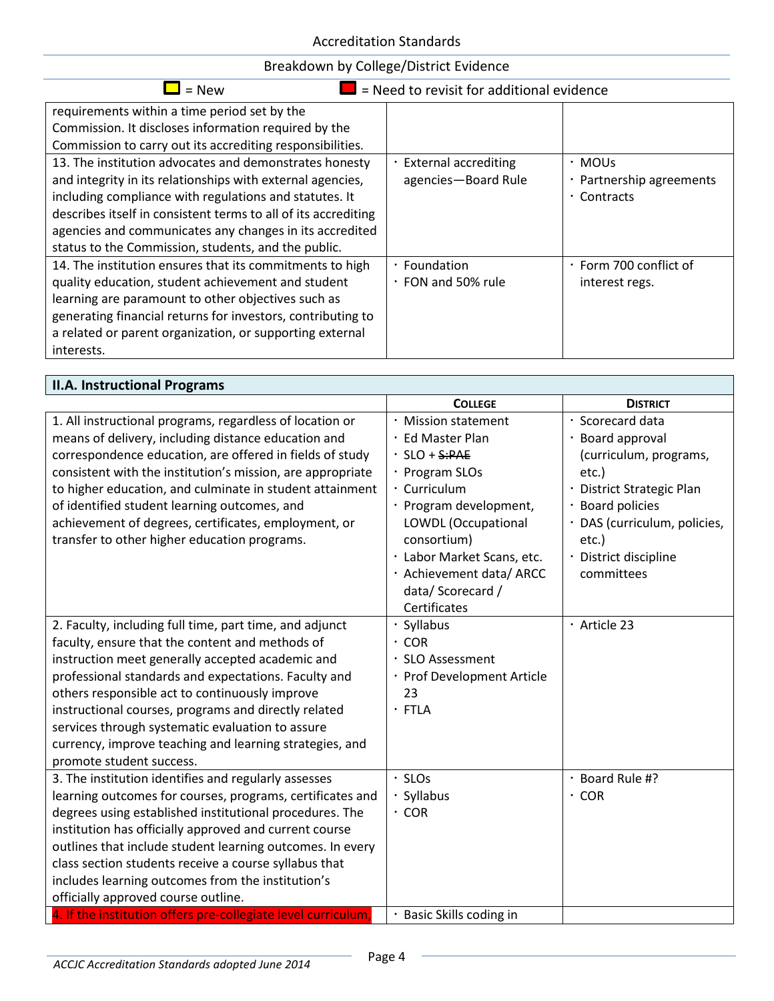| = New                                                          | = Need to revisit for additional evidence |                              |
|----------------------------------------------------------------|-------------------------------------------|------------------------------|
| requirements within a time period set by the                   |                                           |                              |
| Commission. It discloses information required by the           |                                           |                              |
| Commission to carry out its accrediting responsibilities.      |                                           |                              |
| 13. The institution advocates and demonstrates honesty         | · External accrediting                    | · MOUs                       |
| and integrity in its relationships with external agencies,     | agencies-Board Rule                       | · Partnership agreements     |
| including compliance with regulations and statutes. It         |                                           | $\cdot$ Contracts            |
| describes itself in consistent terms to all of its accrediting |                                           |                              |
| agencies and communicates any changes in its accredited        |                                           |                              |
| status to the Commission, students, and the public.            |                                           |                              |
| 14. The institution ensures that its commitments to high       | · Foundation                              | $\cdot$ Form 700 conflict of |
| quality education, student achievement and student             | ∙ FON and 50% rule                        | interest regs.               |
| learning are paramount to other objectives such as             |                                           |                              |
| generating financial returns for investors, contributing to    |                                           |                              |
| a related or parent organization, or supporting external       |                                           |                              |
| interests.                                                     |                                           |                              |

| <b>II.A. Instructional Programs</b>                                                                                                                                                                                                                                                                                                                                                                                                                                         |                                                                                                                                                                                                                                                               |                                                                                                                                                                                                               |
|-----------------------------------------------------------------------------------------------------------------------------------------------------------------------------------------------------------------------------------------------------------------------------------------------------------------------------------------------------------------------------------------------------------------------------------------------------------------------------|---------------------------------------------------------------------------------------------------------------------------------------------------------------------------------------------------------------------------------------------------------------|---------------------------------------------------------------------------------------------------------------------------------------------------------------------------------------------------------------|
|                                                                                                                                                                                                                                                                                                                                                                                                                                                                             | <b>COLLEGE</b>                                                                                                                                                                                                                                                | <b>DISTRICT</b>                                                                                                                                                                                               |
| 1. All instructional programs, regardless of location or<br>means of delivery, including distance education and<br>correspondence education, are offered in fields of study<br>consistent with the institution's mission, are appropriate<br>to higher education, and culminate in student attainment<br>of identified student learning outcomes, and<br>achievement of degrees, certificates, employment, or<br>transfer to other higher education programs.               | · Mission statement<br>· Ed Master Plan<br>$\cdot$ SLO + S:PAE<br>· Program SLOs<br>· Curriculum<br>· Program development,<br>LOWDL (Occupational<br>consortium)<br>· Labor Market Scans, etc.<br>· Achievement data/ ARCC<br>data/Scorecard/<br>Certificates | · Scorecard data<br>· Board approval<br>(curriculum, programs,<br>etc.)<br>· District Strategic Plan<br><b>Board policies</b><br>· DAS (curriculum, policies,<br>etc.)<br>· District discipline<br>committees |
| 2. Faculty, including full time, part time, and adjunct<br>faculty, ensure that the content and methods of<br>instruction meet generally accepted academic and<br>professional standards and expectations. Faculty and<br>others responsible act to continuously improve<br>instructional courses, programs and directly related<br>services through systematic evaluation to assure<br>currency, improve teaching and learning strategies, and<br>promote student success. | Syllabus<br>$\cdot$ COR<br>· SLO Assessment<br>· Prof Development Article<br>23<br>· FTLA                                                                                                                                                                     | · Article 23                                                                                                                                                                                                  |
| 3. The institution identifies and regularly assesses<br>learning outcomes for courses, programs, certificates and<br>degrees using established institutional procedures. The<br>institution has officially approved and current course<br>outlines that include student learning outcomes. In every<br>class section students receive a course syllabus that<br>includes learning outcomes from the institution's<br>officially approved course outline.                    | <b>SLOs</b><br>· Syllabus<br>$\cdot$ COR                                                                                                                                                                                                                      | Board Rule #?<br>$\cdot$ COR                                                                                                                                                                                  |
| 4. If the institution offers pre-collegiate level curriculum,                                                                                                                                                                                                                                                                                                                                                                                                               | · Basic Skills coding in                                                                                                                                                                                                                                      |                                                                                                                                                                                                               |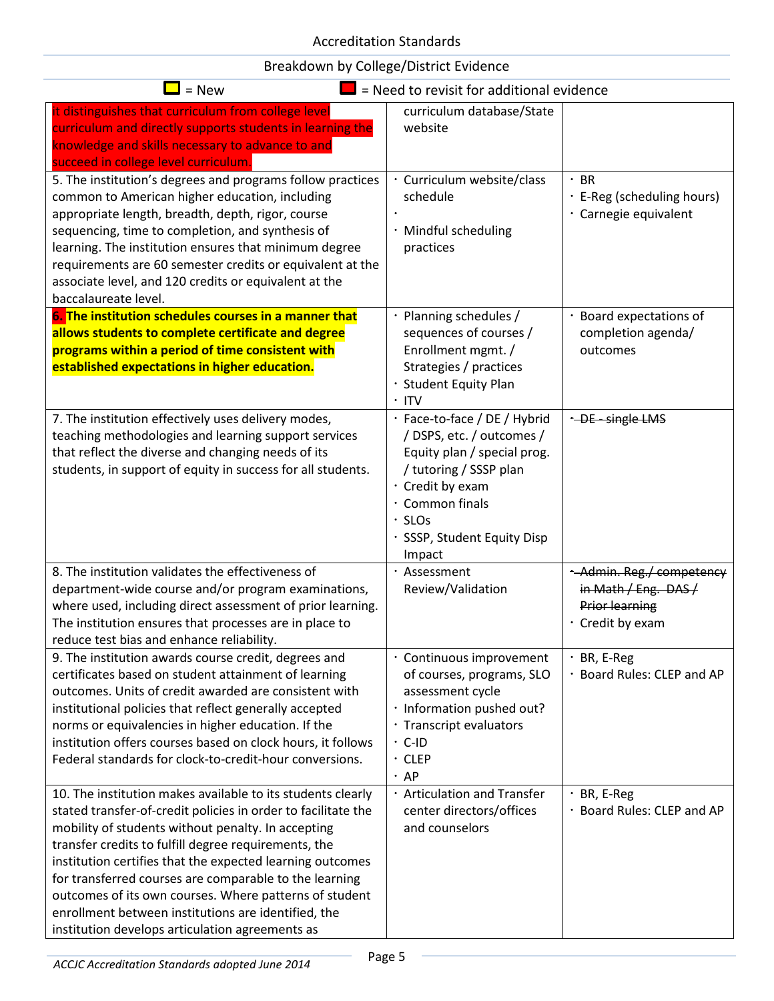| $=$ New                                                                                                                                                                                                                                                                                                                                                                                                                                                                                                                               | = Need to revisit for additional evidence                                                                                                                                                                          |                                                                                             |
|---------------------------------------------------------------------------------------------------------------------------------------------------------------------------------------------------------------------------------------------------------------------------------------------------------------------------------------------------------------------------------------------------------------------------------------------------------------------------------------------------------------------------------------|--------------------------------------------------------------------------------------------------------------------------------------------------------------------------------------------------------------------|---------------------------------------------------------------------------------------------|
| it distinguishes that curriculum from college level<br>curriculum and directly supports students in learning the<br>knowledge and skills necessary to advance to and<br>succeed in college level curriculum.                                                                                                                                                                                                                                                                                                                          | curriculum database/State<br>website                                                                                                                                                                               |                                                                                             |
| 5. The institution's degrees and programs follow practices<br>common to American higher education, including<br>appropriate length, breadth, depth, rigor, course<br>sequencing, time to completion, and synthesis of<br>learning. The institution ensures that minimum degree<br>requirements are 60 semester credits or equivalent at the<br>associate level, and 120 credits or equivalent at the<br>baccalaureate level.                                                                                                          | Curriculum website/class<br>schedule<br>· Mindful scheduling<br>practices                                                                                                                                          | $·$ BR<br>· E-Reg (scheduling hours)<br>· Carnegie equivalent                               |
| 6. The institution schedules courses in a manner that<br>allows students to complete certificate and degree<br>programs within a period of time consistent with<br>established expectations in higher education.                                                                                                                                                                                                                                                                                                                      | Planning schedules /<br>sequences of courses /<br>Enrollment mgmt. /<br>Strategies / practices<br><b>Student Equity Plan</b><br>$\cdot$ ITV                                                                        | · Board expectations of<br>completion agenda/<br>outcomes                                   |
| 7. The institution effectively uses delivery modes,<br>teaching methodologies and learning support services<br>that reflect the diverse and changing needs of its<br>students, in support of equity in success for all students.                                                                                                                                                                                                                                                                                                      | · Face-to-face / DE / Hybrid<br>/ DSPS, etc. / outcomes /<br>Equity plan / special prog.<br>/ tutoring / SSSP plan<br>· Credit by exam<br>· Common finals<br>$\cdot$ SLOs<br>· SSSP, Student Equity Disp<br>Impact | + DE - single LMS                                                                           |
| 8. The institution validates the effectiveness of<br>department-wide course and/or program examinations,<br>where used, including direct assessment of prior learning.<br>The institution ensures that processes are in place to<br>reduce test bias and enhance reliability.                                                                                                                                                                                                                                                         | · Assessment<br>Review/Validation                                                                                                                                                                                  | Admin. Reg./ competency<br>in Math / Eng. DAS/<br><b>Prior learning</b><br>· Credit by exam |
| 9. The institution awards course credit, degrees and<br>certificates based on student attainment of learning<br>outcomes. Units of credit awarded are consistent with<br>institutional policies that reflect generally accepted<br>norms or equivalencies in higher education. If the<br>institution offers courses based on clock hours, it follows<br>Federal standards for clock-to-credit-hour conversions.                                                                                                                       | · Continuous improvement<br>of courses, programs, SLO<br>assessment cycle<br>· Information pushed out?<br>· Transcript evaluators<br>$\cdot$ C-ID<br>$\cdot$ CLEP<br>$·$ AP                                        | $\cdot$ BR, E-Reg<br>· Board Rules: CLEP and AP                                             |
| 10. The institution makes available to its students clearly<br>stated transfer-of-credit policies in order to facilitate the<br>mobility of students without penalty. In accepting<br>transfer credits to fulfill degree requirements, the<br>institution certifies that the expected learning outcomes<br>for transferred courses are comparable to the learning<br>outcomes of its own courses. Where patterns of student<br>enrollment between institutions are identified, the<br>institution develops articulation agreements as | <b>Articulation and Transfer</b><br>center directors/offices<br>and counselors                                                                                                                                     | $·$ BR, E-Reg<br>· Board Rules: CLEP and AP                                                 |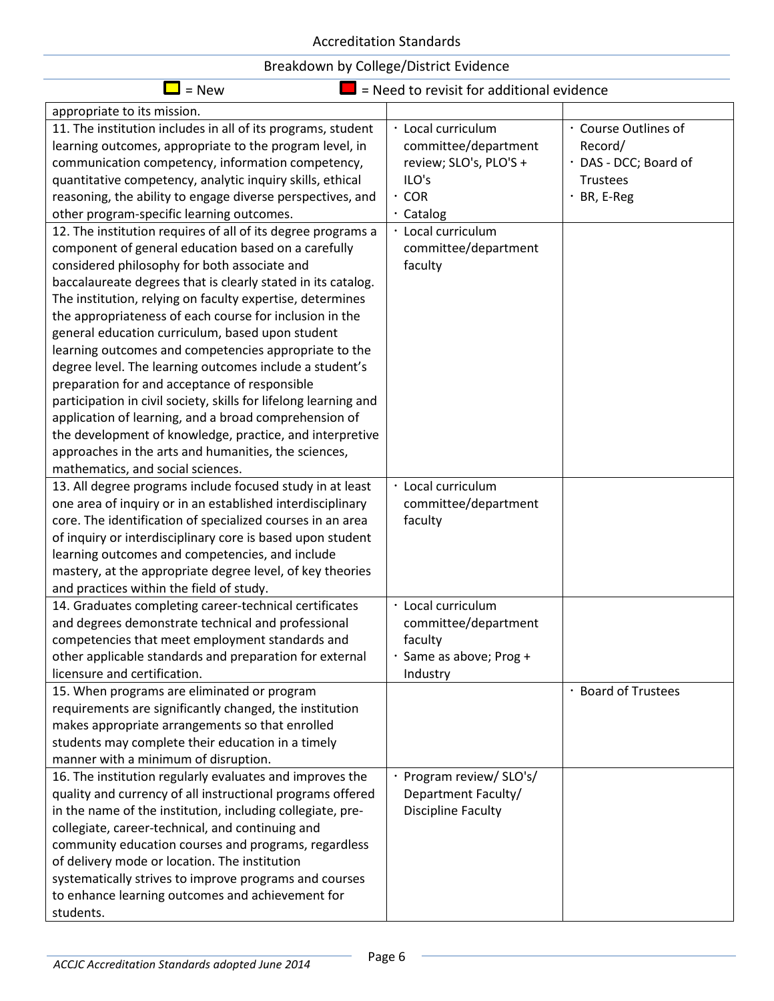| $=$ New<br>$\blacksquare$ = Need to revisit for additional evidence                                                                                                                                                                                                                                                                                                                                                                                                                                                                                                                                                                                                                                                                                                                                                                                                                                                                                                                                                                                                       |                                                                                                                                                                    |                                                                                              |
|---------------------------------------------------------------------------------------------------------------------------------------------------------------------------------------------------------------------------------------------------------------------------------------------------------------------------------------------------------------------------------------------------------------------------------------------------------------------------------------------------------------------------------------------------------------------------------------------------------------------------------------------------------------------------------------------------------------------------------------------------------------------------------------------------------------------------------------------------------------------------------------------------------------------------------------------------------------------------------------------------------------------------------------------------------------------------|--------------------------------------------------------------------------------------------------------------------------------------------------------------------|----------------------------------------------------------------------------------------------|
| appropriate to its mission.                                                                                                                                                                                                                                                                                                                                                                                                                                                                                                                                                                                                                                                                                                                                                                                                                                                                                                                                                                                                                                               |                                                                                                                                                                    |                                                                                              |
| 11. The institution includes in all of its programs, student<br>learning outcomes, appropriate to the program level, in<br>communication competency, information competency,<br>quantitative competency, analytic inquiry skills, ethical<br>reasoning, the ability to engage diverse perspectives, and<br>other program-specific learning outcomes.<br>12. The institution requires of all of its degree programs a<br>component of general education based on a carefully<br>considered philosophy for both associate and<br>baccalaureate degrees that is clearly stated in its catalog.<br>The institution, relying on faculty expertise, determines<br>the appropriateness of each course for inclusion in the<br>general education curriculum, based upon student<br>learning outcomes and competencies appropriate to the<br>degree level. The learning outcomes include a student's<br>preparation for and acceptance of responsible<br>participation in civil society, skills for lifelong learning and<br>application of learning, and a broad comprehension of | · Local curriculum<br>committee/department<br>review; SLO's, PLO'S +<br>ILO's<br>$\cdot$ COR<br>· Catalog<br>· Local curriculum<br>committee/department<br>faculty | · Course Outlines of<br>Record/<br>· DAS - DCC; Board of<br><b>Trustees</b><br>$·$ BR, E-Reg |
| the development of knowledge, practice, and interpretive<br>approaches in the arts and humanities, the sciences,<br>mathematics, and social sciences.                                                                                                                                                                                                                                                                                                                                                                                                                                                                                                                                                                                                                                                                                                                                                                                                                                                                                                                     |                                                                                                                                                                    |                                                                                              |
| 13. All degree programs include focused study in at least<br>one area of inquiry or in an established interdisciplinary<br>core. The identification of specialized courses in an area<br>of inquiry or interdisciplinary core is based upon student<br>learning outcomes and competencies, and include<br>mastery, at the appropriate degree level, of key theories<br>and practices within the field of study.                                                                                                                                                                                                                                                                                                                                                                                                                                                                                                                                                                                                                                                           | · Local curriculum<br>committee/department<br>faculty                                                                                                              |                                                                                              |
| 14. Graduates completing career-technical certificates<br>and degrees demonstrate technical and professional<br>competencies that meet employment standards and<br>other applicable standards and preparation for external<br>licensure and certification.                                                                                                                                                                                                                                                                                                                                                                                                                                                                                                                                                                                                                                                                                                                                                                                                                | · Local curriculum<br>committee/department<br>faculty<br>· Same as above; Prog +<br>Industry                                                                       |                                                                                              |
| 15. When programs are eliminated or program<br>requirements are significantly changed, the institution<br>makes appropriate arrangements so that enrolled<br>students may complete their education in a timely<br>manner with a minimum of disruption.                                                                                                                                                                                                                                                                                                                                                                                                                                                                                                                                                                                                                                                                                                                                                                                                                    |                                                                                                                                                                    | · Board of Trustees                                                                          |
| 16. The institution regularly evaluates and improves the<br>quality and currency of all instructional programs offered<br>in the name of the institution, including collegiate, pre-<br>collegiate, career-technical, and continuing and<br>community education courses and programs, regardless<br>of delivery mode or location. The institution<br>systematically strives to improve programs and courses<br>to enhance learning outcomes and achievement for<br>students.                                                                                                                                                                                                                                                                                                                                                                                                                                                                                                                                                                                              | · Program review/ SLO's/<br>Department Faculty/<br><b>Discipline Faculty</b>                                                                                       |                                                                                              |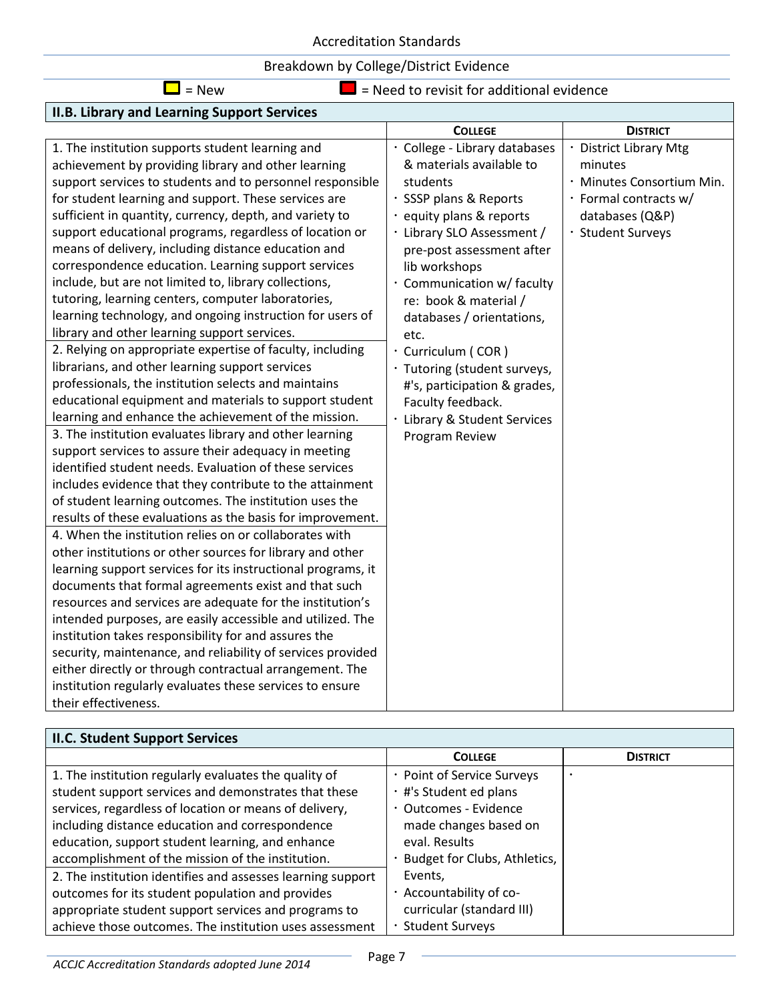## Breakdown by College/District Evidence

| ۰, |
|----|
|----|

 $\Box$  = Need to revisit for additional evidence

| II.B. Library and Learning Support Services                  |                               |                           |
|--------------------------------------------------------------|-------------------------------|---------------------------|
|                                                              | <b>COLLEGE</b>                | <b>DISTRICT</b>           |
| 1. The institution supports student learning and             | · College - Library databases | · District Library Mtg    |
| achievement by providing library and other learning          | & materials available to      | minutes                   |
| support services to students and to personnel responsible    | students                      | · Minutes Consortium Min. |
| for student learning and support. These services are         | · SSSP plans & Reports        | · Formal contracts w/     |
| sufficient in quantity, currency, depth, and variety to      | · equity plans & reports      | databases (Q&P)           |
| support educational programs, regardless of location or      | · Library SLO Assessment /    | · Student Surveys         |
| means of delivery, including distance education and          | pre-post assessment after     |                           |
| correspondence education. Learning support services          | lib workshops                 |                           |
| include, but are not limited to, library collections,        | · Communication w/ faculty    |                           |
| tutoring, learning centers, computer laboratories,           | re: book & material /         |                           |
| learning technology, and ongoing instruction for users of    | databases / orientations,     |                           |
| library and other learning support services.                 | etc.                          |                           |
| 2. Relying on appropriate expertise of faculty, including    | · Curriculum (COR)            |                           |
| librarians, and other learning support services              | · Tutoring (student surveys,  |                           |
| professionals, the institution selects and maintains         | #'s, participation & grades,  |                           |
| educational equipment and materials to support student       | Faculty feedback.             |                           |
| learning and enhance the achievement of the mission.         | Library & Student Services    |                           |
| 3. The institution evaluates library and other learning      | Program Review                |                           |
| support services to assure their adequacy in meeting         |                               |                           |
| identified student needs. Evaluation of these services       |                               |                           |
| includes evidence that they contribute to the attainment     |                               |                           |
| of student learning outcomes. The institution uses the       |                               |                           |
| results of these evaluations as the basis for improvement.   |                               |                           |
| 4. When the institution relies on or collaborates with       |                               |                           |
| other institutions or other sources for library and other    |                               |                           |
| learning support services for its instructional programs, it |                               |                           |
| documents that formal agreements exist and that such         |                               |                           |
| resources and services are adequate for the institution's    |                               |                           |
| intended purposes, are easily accessible and utilized. The   |                               |                           |
| institution takes responsibility for and assures the         |                               |                           |
| security, maintenance, and reliability of services provided  |                               |                           |
| either directly or through contractual arrangement. The      |                               |                           |
| institution regularly evaluates these services to ensure     |                               |                           |
| their effectiveness.                                         |                               |                           |

| <b>II.C. Student Support Services</b>                       |                                |                 |  |  |
|-------------------------------------------------------------|--------------------------------|-----------------|--|--|
|                                                             | <b>COLLEGE</b>                 | <b>DISTRICT</b> |  |  |
| 1. The institution regularly evaluates the quality of       | · Point of Service Surveys     |                 |  |  |
| student support services and demonstrates that these        | · #'s Student ed plans         |                 |  |  |
| services, regardless of location or means of delivery,      | · Outcomes - Evidence          |                 |  |  |
| including distance education and correspondence             | made changes based on          |                 |  |  |
| education, support student learning, and enhance            | eval. Results                  |                 |  |  |
| accomplishment of the mission of the institution.           | · Budget for Clubs, Athletics, |                 |  |  |
| 2. The institution identifies and assesses learning support | Events.                        |                 |  |  |
| outcomes for its student population and provides            | · Accountability of co-        |                 |  |  |
| appropriate student support services and programs to        | curricular (standard III)      |                 |  |  |
| achieve those outcomes. The institution uses assessment     | <b>Student Surveys</b>         |                 |  |  |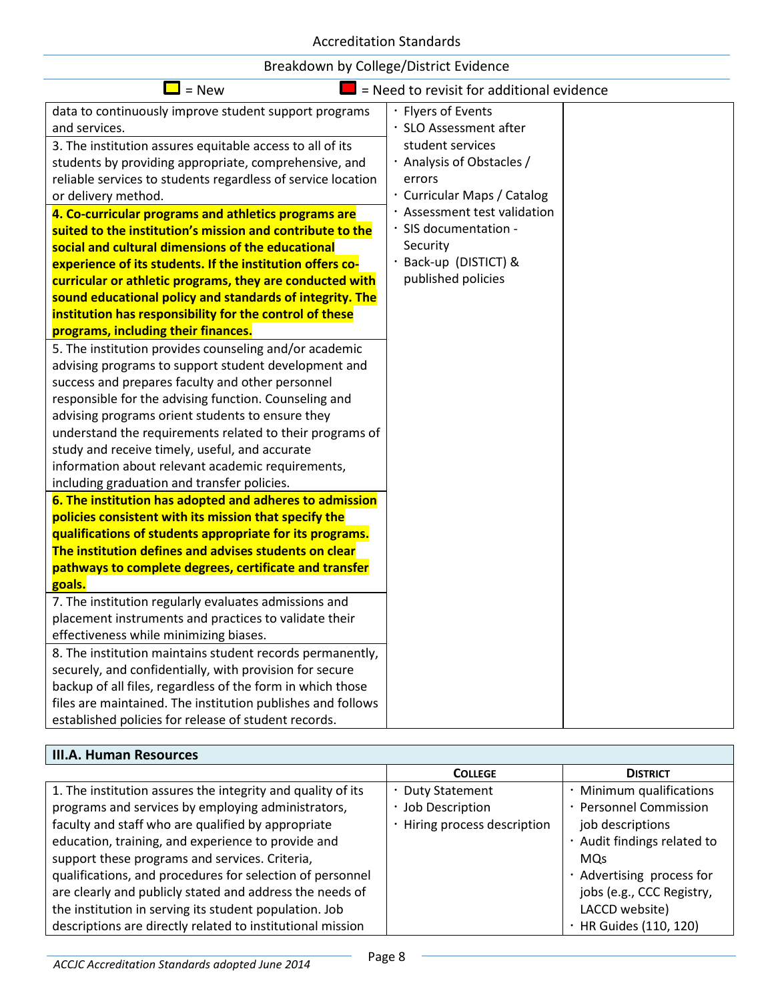| $=$ New                                                                                                              | = Need to revisit for additional evidence |
|----------------------------------------------------------------------------------------------------------------------|-------------------------------------------|
| data to continuously improve student support programs                                                                | · Flyers of Events                        |
| and services.                                                                                                        | · SLO Assessment after                    |
| 3. The institution assures equitable access to all of its                                                            | student services                          |
| students by providing appropriate, comprehensive, and                                                                | · Analysis of Obstacles /                 |
| reliable services to students regardless of service location                                                         | errors                                    |
| or delivery method.                                                                                                  | · Curricular Maps / Catalog               |
| 4. Co-curricular programs and athletics programs are                                                                 | · Assessment test validation              |
| suited to the institution's mission and contribute to the                                                            | · SIS documentation -                     |
| social and cultural dimensions of the educational                                                                    | Security                                  |
| experience of its students. If the institution offers co-                                                            | · Back-up (DISTICT) &                     |
| curricular or athletic programs, they are conducted with                                                             | published policies                        |
| sound educational policy and standards of integrity. The                                                             |                                           |
| institution has responsibility for the control of these                                                              |                                           |
| programs, including their finances.                                                                                  |                                           |
| 5. The institution provides counseling and/or academic                                                               |                                           |
| advising programs to support student development and                                                                 |                                           |
| success and prepares faculty and other personnel                                                                     |                                           |
| responsible for the advising function. Counseling and                                                                |                                           |
| advising programs orient students to ensure they                                                                     |                                           |
| understand the requirements related to their programs of                                                             |                                           |
| study and receive timely, useful, and accurate                                                                       |                                           |
| information about relevant academic requirements,                                                                    |                                           |
| including graduation and transfer policies.                                                                          |                                           |
| 6. The institution has adopted and adheres to admission                                                              |                                           |
| policies consistent with its mission that specify the                                                                |                                           |
| qualifications of students appropriate for its programs.                                                             |                                           |
| The institution defines and advises students on clear                                                                |                                           |
| pathways to complete degrees, certificate and transfer                                                               |                                           |
| goals.                                                                                                               |                                           |
| 7. The institution regularly evaluates admissions and                                                                |                                           |
| placement instruments and practices to validate their                                                                |                                           |
| effectiveness while minimizing biases.                                                                               |                                           |
| 8. The institution maintains student records permanently,<br>securely, and confidentially, with provision for secure |                                           |
| backup of all files, regardless of the form in which those                                                           |                                           |
| files are maintained. The institution publishes and follows                                                          |                                           |
| established policies for release of student records.                                                                 |                                           |
|                                                                                                                      |                                           |

# **III.A. Human Resources**

|                                                             | <b>COLLEGE</b>             | <b>DISTRICT</b>             |
|-------------------------------------------------------------|----------------------------|-----------------------------|
| 1. The institution assures the integrity and quality of its | · Duty Statement           | · Minimum qualifications    |
| programs and services by employing administrators,          | Job Description            | · Personnel Commission      |
| faculty and staff who are qualified by appropriate          | Hiring process description | job descriptions            |
| education, training, and experience to provide and          |                            | · Audit findings related to |
| support these programs and services. Criteria,              |                            | <b>MOs</b>                  |
| qualifications, and procedures for selection of personnel   |                            | · Advertising process for   |
| are clearly and publicly stated and address the needs of    |                            | jobs (e.g., CCC Registry,   |
| the institution in serving its student population. Job      |                            | LACCD website)              |
| descriptions are directly related to institutional mission  |                            | · HR Guides (110, 120)      |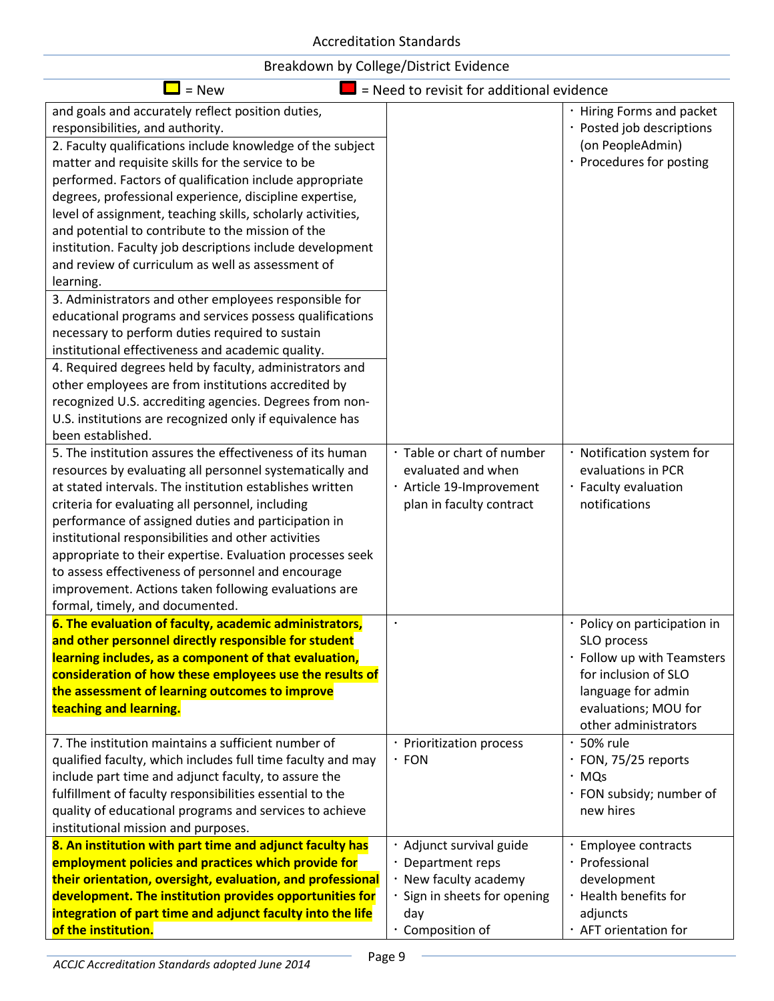| $=$ New                                                                                                                                                                                                                                                                                                                                                                                                                                                                                                                                                                                                                                                                                                                                                                                                                                                                                                                                                                                                                                                                      | = Need to revisit for additional evidence                                                                                   |                                                                                                                                                                                             |
|------------------------------------------------------------------------------------------------------------------------------------------------------------------------------------------------------------------------------------------------------------------------------------------------------------------------------------------------------------------------------------------------------------------------------------------------------------------------------------------------------------------------------------------------------------------------------------------------------------------------------------------------------------------------------------------------------------------------------------------------------------------------------------------------------------------------------------------------------------------------------------------------------------------------------------------------------------------------------------------------------------------------------------------------------------------------------|-----------------------------------------------------------------------------------------------------------------------------|---------------------------------------------------------------------------------------------------------------------------------------------------------------------------------------------|
| and goals and accurately reflect position duties,<br>responsibilities, and authority.<br>2. Faculty qualifications include knowledge of the subject<br>matter and requisite skills for the service to be<br>performed. Factors of qualification include appropriate<br>degrees, professional experience, discipline expertise,<br>level of assignment, teaching skills, scholarly activities,<br>and potential to contribute to the mission of the<br>institution. Faculty job descriptions include development<br>and review of curriculum as well as assessment of<br>learning.<br>3. Administrators and other employees responsible for<br>educational programs and services possess qualifications<br>necessary to perform duties required to sustain<br>institutional effectiveness and academic quality.<br>4. Required degrees held by faculty, administrators and<br>other employees are from institutions accredited by<br>recognized U.S. accrediting agencies. Degrees from non-<br>U.S. institutions are recognized only if equivalence has<br>been established. |                                                                                                                             | · Hiring Forms and packet<br>· Posted job descriptions<br>(on PeopleAdmin)<br>· Procedures for posting                                                                                      |
| 5. The institution assures the effectiveness of its human<br>resources by evaluating all personnel systematically and<br>at stated intervals. The institution establishes written<br>criteria for evaluating all personnel, including<br>performance of assigned duties and participation in<br>institutional responsibilities and other activities<br>appropriate to their expertise. Evaluation processes seek<br>to assess effectiveness of personnel and encourage<br>improvement. Actions taken following evaluations are<br>formal, timely, and documented.                                                                                                                                                                                                                                                                                                                                                                                                                                                                                                            | · Table or chart of number<br>evaluated and when<br>· Article 19-Improvement<br>plan in faculty contract                    | · Notification system for<br>evaluations in PCR<br>· Faculty evaluation<br>notifications                                                                                                    |
| 6. The evaluation of faculty, academic administrators,<br>and other personnel directly responsible for student<br>learning includes, as a component of that evaluation,<br>consideration of how these employees use the results of<br>the assessment of learning outcomes to improve<br>teaching and learning.<br>7. The institution maintains a sufficient number of                                                                                                                                                                                                                                                                                                                                                                                                                                                                                                                                                                                                                                                                                                        | · Prioritization process                                                                                                    | · Policy on participation in<br>SLO process<br>· Follow up with Teamsters<br>for inclusion of SLO<br>language for admin<br>evaluations; MOU for<br>other administrators<br>$\cdot$ 50% rule |
| qualified faculty, which includes full time faculty and may<br>include part time and adjunct faculty, to assure the<br>fulfillment of faculty responsibilities essential to the<br>quality of educational programs and services to achieve<br>institutional mission and purposes.                                                                                                                                                                                                                                                                                                                                                                                                                                                                                                                                                                                                                                                                                                                                                                                            | $\cdot$ FON                                                                                                                 | · FON, 75/25 reports<br>$·$ MQs<br>· FON subsidy; number of<br>new hires                                                                                                                    |
| 8. An institution with part time and adjunct faculty has<br>employment policies and practices which provide for<br>their orientation, oversight, evaluation, and professional<br>development. The institution provides opportunities for<br>integration of part time and adjunct faculty into the life<br>of the institution.                                                                                                                                                                                                                                                                                                                                                                                                                                                                                                                                                                                                                                                                                                                                                | Adjunct survival guide<br>· Department reps<br>New faculty academy<br>Sign in sheets for opening<br>day<br>· Composition of | · Employee contracts<br>· Professional<br>development<br>· Health benefits for<br>adjuncts<br>· AFT orientation for                                                                         |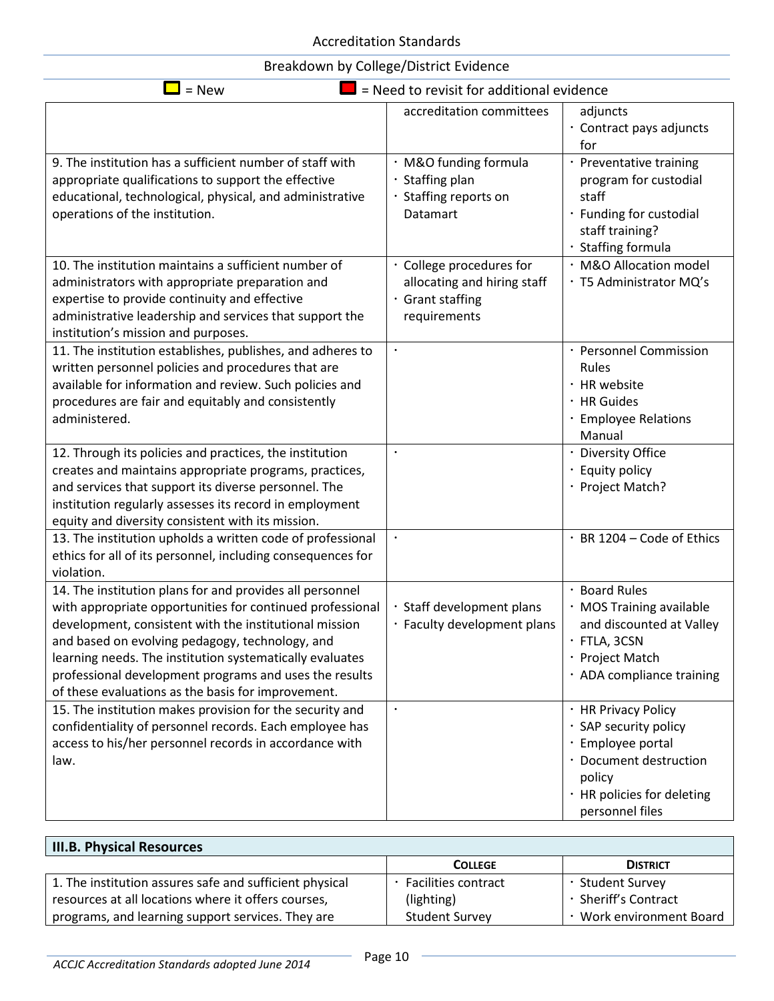| $=$ New<br>= Need to revisit for additional evidence                                                                                                                                                                                                                                                                                                                                                                                                                       |                                                                                             |                                                                                                                                                                    |  |
|----------------------------------------------------------------------------------------------------------------------------------------------------------------------------------------------------------------------------------------------------------------------------------------------------------------------------------------------------------------------------------------------------------------------------------------------------------------------------|---------------------------------------------------------------------------------------------|--------------------------------------------------------------------------------------------------------------------------------------------------------------------|--|
|                                                                                                                                                                                                                                                                                                                                                                                                                                                                            | accreditation committees                                                                    | adjuncts<br>· Contract pays adjuncts<br>for                                                                                                                        |  |
| 9. The institution has a sufficient number of staff with<br>appropriate qualifications to support the effective<br>educational, technological, physical, and administrative<br>operations of the institution.                                                                                                                                                                                                                                                              | · M&O funding formula<br>· Staffing plan<br>· Staffing reports on<br>Datamart               | · Preventative training<br>program for custodial<br>staff<br>· Funding for custodial<br>staff training?<br>· Staffing formula                                      |  |
| 10. The institution maintains a sufficient number of<br>administrators with appropriate preparation and<br>expertise to provide continuity and effective<br>administrative leadership and services that support the<br>institution's mission and purposes.                                                                                                                                                                                                                 | · College procedures for<br>allocating and hiring staff<br>· Grant staffing<br>requirements | · M&O Allocation model<br>· T5 Administrator MQ's                                                                                                                  |  |
| 11. The institution establishes, publishes, and adheres to<br>written personnel policies and procedures that are<br>available for information and review. Such policies and<br>procedures are fair and equitably and consistently<br>administered.                                                                                                                                                                                                                         | $\bullet$                                                                                   | · Personnel Commission<br>Rules<br>· HR website<br>· HR Guides<br>· Employee Relations<br>Manual                                                                   |  |
| 12. Through its policies and practices, the institution<br>creates and maintains appropriate programs, practices,<br>and services that support its diverse personnel. The<br>institution regularly assesses its record in employment<br>equity and diversity consistent with its mission.                                                                                                                                                                                  | $\bullet$                                                                                   | · Diversity Office<br>· Equity policy<br>· Project Match?                                                                                                          |  |
| 13. The institution upholds a written code of professional<br>ethics for all of its personnel, including consequences for<br>violation.                                                                                                                                                                                                                                                                                                                                    | $\bullet$                                                                                   | · BR 1204 - Code of Ethics                                                                                                                                         |  |
| 14. The institution plans for and provides all personnel<br>with appropriate opportunities for continued professional<br>development, consistent with the institutional mission<br>and based on evolving pedagogy, technology, and<br>learning needs. The institution systematically evaluates<br>professional development programs and uses the results<br>of these evaluations as the basis for improvement.<br>15. The institution makes provision for the security and | · Staff development plans<br>· Faculty development plans<br>$\bullet$                       | · Board Rules<br>· MOS Training available<br>and discounted at Valley<br>$\cdot$ FTLA, 3CSN<br>· Project Match<br>· ADA compliance training<br>· HR Privacy Policy |  |
| confidentiality of personnel records. Each employee has<br>access to his/her personnel records in accordance with<br>law.                                                                                                                                                                                                                                                                                                                                                  |                                                                                             | · SAP security policy<br>· Employee portal<br>· Document destruction<br>policy<br>· HR policies for deleting<br>personnel files                                    |  |

| <b>III.B. Physical Resources</b>                        |                            |                          |
|---------------------------------------------------------|----------------------------|--------------------------|
|                                                         | <b>COLLEGE</b>             | <b>DISTRICT</b>          |
| 1. The institution assures safe and sufficient physical | <b>Facilities contract</b> | · Student Survey         |
| resources at all locations where it offers courses,     | (lighting)                 | · Sheriff's Contract     |
| programs, and learning support services. They are       | <b>Student Survey</b>      | · Work environment Board |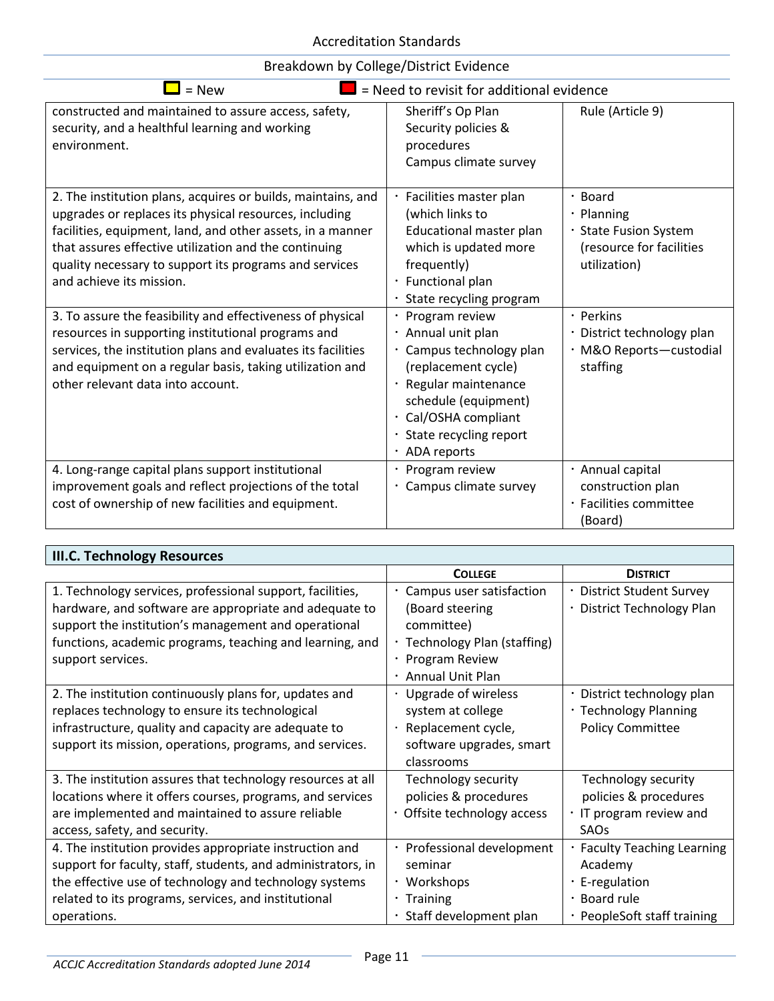| Breakdown by College/District Evidence |  |  |  |  |
|----------------------------------------|--|--|--|--|
|----------------------------------------|--|--|--|--|

| = Need to revisit for additional evidence<br>$=$ New                                                                                                                                                                                                                                                                                                                                                                                                    |                                                                                                                                                                                                    |                                                                                                                                           |  |
|---------------------------------------------------------------------------------------------------------------------------------------------------------------------------------------------------------------------------------------------------------------------------------------------------------------------------------------------------------------------------------------------------------------------------------------------------------|----------------------------------------------------------------------------------------------------------------------------------------------------------------------------------------------------|-------------------------------------------------------------------------------------------------------------------------------------------|--|
| constructed and maintained to assure access, safety,<br>security, and a healthful learning and working<br>environment.                                                                                                                                                                                                                                                                                                                                  | Sheriff's Op Plan<br>Security policies &<br>procedures<br>Campus climate survey                                                                                                                    | Rule (Article 9)                                                                                                                          |  |
| 2. The institution plans, acquires or builds, maintains, and<br>upgrades or replaces its physical resources, including<br>facilities, equipment, land, and other assets, in a manner<br>that assures effective utilization and the continuing<br>quality necessary to support its programs and services<br>and achieve its mission.<br>3. To assure the feasibility and effectiveness of physical<br>resources in supporting institutional programs and | Facilities master plan<br>(which links to<br>Educational master plan<br>which is updated more<br>frequently)<br>Functional plan<br>State recycling program<br>Program review<br>· Annual unit plan | Board<br>$\cdot$ Planning<br>· State Fusion System<br>(resource for facilities<br>utilization)<br>· Perkins<br>· District technology plan |  |
| services, the institution plans and evaluates its facilities<br>and equipment on a regular basis, taking utilization and<br>other relevant data into account.                                                                                                                                                                                                                                                                                           | Campus technology plan<br>(replacement cycle)<br>Regular maintenance<br>schedule (equipment)<br>Cal/OSHA compliant<br>$\bullet$<br>· State recycling report<br>· ADA reports                       | · M&O Reports-custodial<br>staffing                                                                                                       |  |
| 4. Long-range capital plans support institutional<br>improvement goals and reflect projections of the total<br>cost of ownership of new facilities and equipment.                                                                                                                                                                                                                                                                                       | · Program review<br>Campus climate survey                                                                                                                                                          | · Annual capital<br>construction plan<br>· Facilities committee<br>(Board)                                                                |  |

| <b>III.C. Technology Resources</b>                                                                                                                                                                                                        |                                                                                                              |                                                                                           |
|-------------------------------------------------------------------------------------------------------------------------------------------------------------------------------------------------------------------------------------------|--------------------------------------------------------------------------------------------------------------|-------------------------------------------------------------------------------------------|
|                                                                                                                                                                                                                                           | <b>COLLEGE</b>                                                                                               | <b>DISTRICT</b>                                                                           |
| 1. Technology services, professional support, facilities,<br>hardware, and software are appropriate and adequate to                                                                                                                       | · Campus user satisfaction<br>(Board steering                                                                | · District Student Survey<br>· District Technology Plan                                   |
| support the institution's management and operational<br>functions, academic programs, teaching and learning, and<br>support services.                                                                                                     | committee)<br>· Technology Plan (staffing)<br>· Program Review<br>· Annual Unit Plan                         |                                                                                           |
| 2. The institution continuously plans for, updates and<br>replaces technology to ensure its technological<br>infrastructure, quality and capacity are adequate to<br>support its mission, operations, programs, and services.             | · Upgrade of wireless<br>system at college<br>· Replacement cycle,<br>software upgrades, smart<br>classrooms | · District technology plan<br>· Technology Planning<br><b>Policy Committee</b>            |
| 3. The institution assures that technology resources at all<br>locations where it offers courses, programs, and services<br>are implemented and maintained to assure reliable<br>access, safety, and security.                            | Technology security<br>policies & procedures<br>· Offsite technology access                                  | Technology security<br>policies & procedures<br>IT program review and<br>SAO <sub>S</sub> |
| 4. The institution provides appropriate instruction and<br>support for faculty, staff, students, and administrators, in<br>the effective use of technology and technology systems<br>related to its programs, services, and institutional | · Professional development<br>seminar<br>· Workshops<br>$\cdot$ Training                                     | · Faculty Teaching Learning<br>Academy<br>$\cdot$ E-regulation<br>· Board rule            |
| operations.                                                                                                                                                                                                                               | · Staff development plan                                                                                     | · PeopleSoft staff training                                                               |

÷,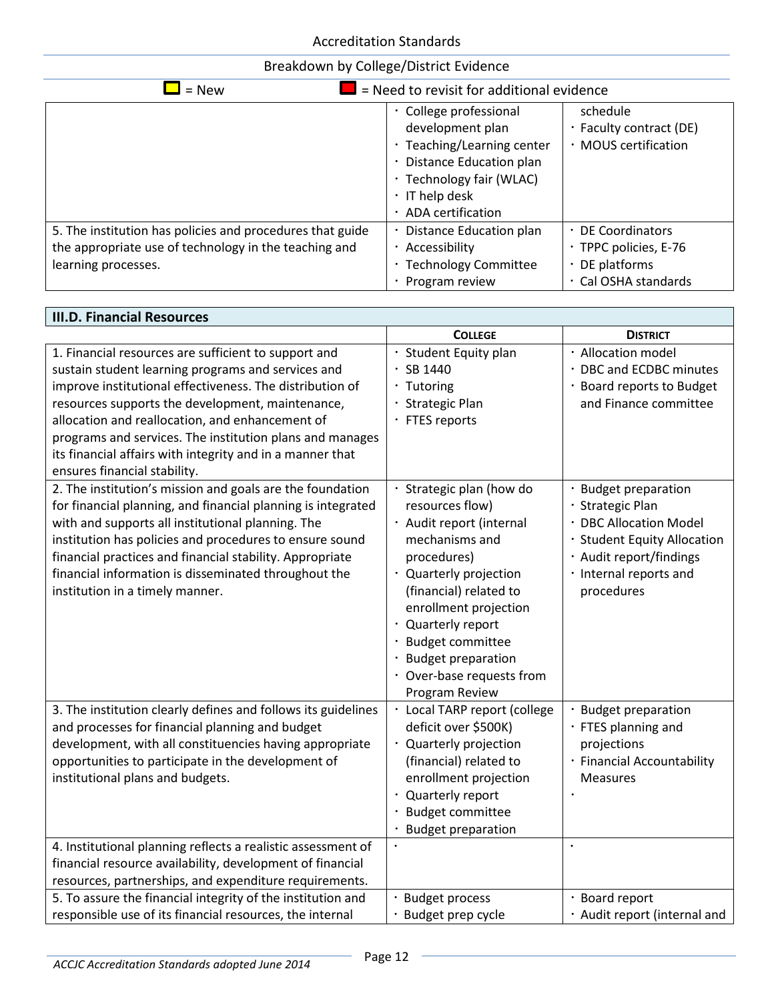| $\blacksquare$ = Need to revisit for additional evidence<br>$=$ New |                                  |                         |  |
|---------------------------------------------------------------------|----------------------------------|-------------------------|--|
|                                                                     | · College professional           | schedule                |  |
|                                                                     | development plan                 | · Faculty contract (DE) |  |
|                                                                     | $\cdot$ Teaching/Learning center | · MOUS certification    |  |
|                                                                     | · Distance Education plan        |                         |  |
|                                                                     | · Technology fair (WLAC)         |                         |  |
|                                                                     | $\cdot$ IT help desk             |                         |  |
|                                                                     | · ADA certification              |                         |  |
| 5. The institution has policies and procedures that guide           | Distance Education plan          | · DE Coordinators       |  |
| the appropriate use of technology in the teaching and               | Accessibility<br>$\bullet$       | · TPPC policies, E-76   |  |
| learning processes.                                                 | · Technology Committee           | $\cdot$ DE platforms    |  |
|                                                                     | Program review                   | · Cal OSHA standards    |  |

| <b>III.D. Financial Resources</b>                                                                                                                                                                                                                                                                                                                                                                                                      |                                                                                                                                                                                                                                                                                                                    |                                                                                                                                                                      |  |  |
|----------------------------------------------------------------------------------------------------------------------------------------------------------------------------------------------------------------------------------------------------------------------------------------------------------------------------------------------------------------------------------------------------------------------------------------|--------------------------------------------------------------------------------------------------------------------------------------------------------------------------------------------------------------------------------------------------------------------------------------------------------------------|----------------------------------------------------------------------------------------------------------------------------------------------------------------------|--|--|
|                                                                                                                                                                                                                                                                                                                                                                                                                                        | <b>COLLEGE</b>                                                                                                                                                                                                                                                                                                     | <b>DISTRICT</b>                                                                                                                                                      |  |  |
| 1. Financial resources are sufficient to support and<br>sustain student learning programs and services and<br>improve institutional effectiveness. The distribution of<br>resources supports the development, maintenance,<br>allocation and reallocation, and enhancement of<br>programs and services. The institution plans and manages<br>its financial affairs with integrity and in a manner that<br>ensures financial stability. | · Student Equity plan<br>SB 1440<br>· Tutoring<br>· Strategic Plan<br>· FTES reports                                                                                                                                                                                                                               | · Allocation model<br>· DBC and ECDBC minutes<br>· Board reports to Budget<br>and Finance committee                                                                  |  |  |
| 2. The institution's mission and goals are the foundation<br>for financial planning, and financial planning is integrated<br>with and supports all institutional planning. The<br>institution has policies and procedures to ensure sound<br>financial practices and financial stability. Appropriate<br>financial information is disseminated throughout the<br>institution in a timely manner.                                       | · Strategic plan (how do<br>resources flow)<br>· Audit report (internal<br>mechanisms and<br>procedures)<br>· Quarterly projection<br>(financial) related to<br>enrollment projection<br>· Quarterly report<br><b>Budget committee</b><br><b>Budget preparation</b><br>· Over-base requests from<br>Program Review | · Budget preparation<br>· Strategic Plan<br>· DBC Allocation Model<br>· Student Equity Allocation<br>· Audit report/findings<br>· Internal reports and<br>procedures |  |  |
| 3. The institution clearly defines and follows its guidelines<br>and processes for financial planning and budget<br>development, with all constituencies having appropriate<br>opportunities to participate in the development of<br>institutional plans and budgets.                                                                                                                                                                  | · Local TARP report (college<br>deficit over \$500K)<br>· Quarterly projection<br>(financial) related to<br>enrollment projection<br>· Quarterly report<br><b>Budget committee</b><br><b>Budget preparation</b>                                                                                                    | <b>Budget preparation</b><br>· FTES planning and<br>projections<br>· Financial Accountability<br><b>Measures</b>                                                     |  |  |
| 4. Institutional planning reflects a realistic assessment of<br>financial resource availability, development of financial<br>resources, partnerships, and expenditure requirements.<br>5. To assure the financial integrity of the institution and<br>responsible use of its financial resources, the internal                                                                                                                         | <b>Budget process</b><br>Budget prep cycle                                                                                                                                                                                                                                                                         | · Board report<br>· Audit report (internal and                                                                                                                       |  |  |
|                                                                                                                                                                                                                                                                                                                                                                                                                                        |                                                                                                                                                                                                                                                                                                                    |                                                                                                                                                                      |  |  |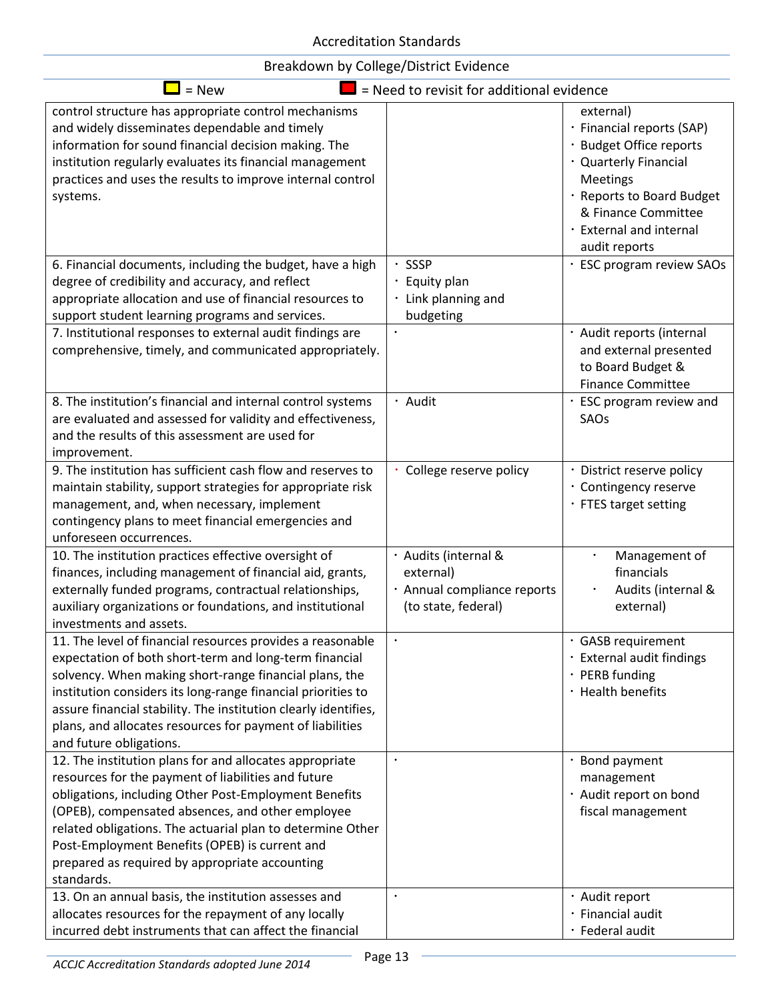| Breakdown by College/District Evidence |  |  |  |  |
|----------------------------------------|--|--|--|--|
|----------------------------------------|--|--|--|--|

| $=$ New                                                                                                                                                                                                                                                                                                                                                                                                     | = Need to revisit for additional evidence                                               |                                                                                                                                                                                                        |
|-------------------------------------------------------------------------------------------------------------------------------------------------------------------------------------------------------------------------------------------------------------------------------------------------------------------------------------------------------------------------------------------------------------|-----------------------------------------------------------------------------------------|--------------------------------------------------------------------------------------------------------------------------------------------------------------------------------------------------------|
| control structure has appropriate control mechanisms<br>and widely disseminates dependable and timely<br>information for sound financial decision making. The<br>institution regularly evaluates its financial management<br>practices and uses the results to improve internal control<br>systems.                                                                                                         |                                                                                         | external)<br>· Financial reports (SAP)<br>· Budget Office reports<br>· Quarterly Financial<br>Meetings<br>· Reports to Board Budget<br>& Finance Committee<br>· External and internal<br>audit reports |
| 6. Financial documents, including the budget, have a high<br>degree of credibility and accuracy, and reflect<br>appropriate allocation and use of financial resources to<br>support student learning programs and services.<br>7. Institutional responses to external audit findings are                                                                                                                    | · SSSP<br>· Equity plan<br>· Link planning and<br>budgeting                             | · ESC program review SAOs<br>· Audit reports (internal                                                                                                                                                 |
| comprehensive, timely, and communicated appropriately.                                                                                                                                                                                                                                                                                                                                                      |                                                                                         | and external presented<br>to Board Budget &<br><b>Finance Committee</b>                                                                                                                                |
| 8. The institution's financial and internal control systems<br>are evaluated and assessed for validity and effectiveness,<br>and the results of this assessment are used for<br>improvement.                                                                                                                                                                                                                | · Audit                                                                                 | ESC program review and<br>SAOs                                                                                                                                                                         |
| 9. The institution has sufficient cash flow and reserves to<br>maintain stability, support strategies for appropriate risk<br>management, and, when necessary, implement<br>contingency plans to meet financial emergencies and<br>unforeseen occurrences.                                                                                                                                                  | · College reserve policy                                                                | · District reserve policy<br>· Contingency reserve<br>· FTES target setting                                                                                                                            |
| 10. The institution practices effective oversight of<br>finances, including management of financial aid, grants,<br>externally funded programs, contractual relationships,<br>auxiliary organizations or foundations, and institutional<br>investments and assets.                                                                                                                                          | · Audits (internal &<br>external)<br>· Annual compliance reports<br>(to state, federal) | Management of<br>financials<br>Audits (internal &<br>external)                                                                                                                                         |
| 11. The level of financial resources provides a reasonable<br>expectation of both short-term and long-term financial<br>solvency. When making short-range financial plans, the<br>institution considers its long-range financial priorities to<br>assure financial stability. The institution clearly identifies,<br>plans, and allocates resources for payment of liabilities<br>and future obligations.   | $\bullet$                                                                               | · GASB requirement<br>· External audit findings<br>· PERB funding<br>· Health benefits                                                                                                                 |
| 12. The institution plans for and allocates appropriate<br>resources for the payment of liabilities and future<br>obligations, including Other Post-Employment Benefits<br>(OPEB), compensated absences, and other employee<br>related obligations. The actuarial plan to determine Other<br>Post-Employment Benefits (OPEB) is current and<br>prepared as required by appropriate accounting<br>standards. |                                                                                         | · Bond payment<br>management<br>· Audit report on bond<br>fiscal management                                                                                                                            |
| 13. On an annual basis, the institution assesses and<br>allocates resources for the repayment of any locally<br>incurred debt instruments that can affect the financial                                                                                                                                                                                                                                     |                                                                                         | · Audit report<br>· Financial audit<br>· Federal audit                                                                                                                                                 |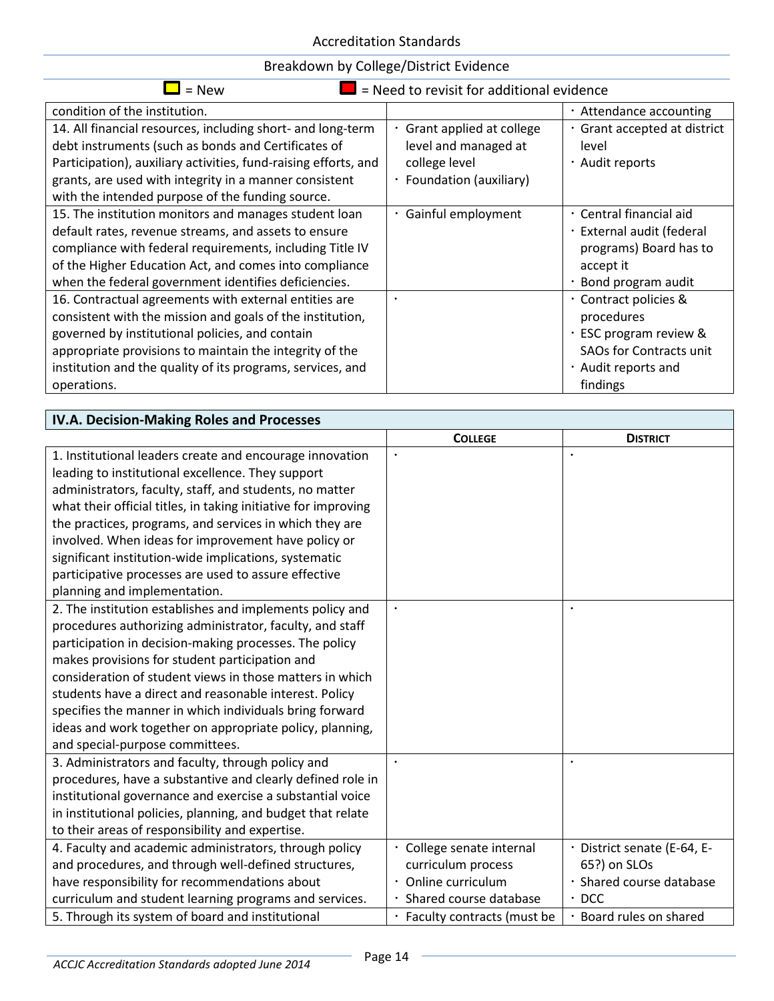| $=$ New                                                                                                                                                                                                                                                                                                       | = Need to revisit for additional evidence                                                     |                                                                                                                                    |
|---------------------------------------------------------------------------------------------------------------------------------------------------------------------------------------------------------------------------------------------------------------------------------------------------------------|-----------------------------------------------------------------------------------------------|------------------------------------------------------------------------------------------------------------------------------------|
| condition of the institution.                                                                                                                                                                                                                                                                                 |                                                                                               | · Attendance accounting                                                                                                            |
| 14. All financial resources, including short- and long-term<br>debt instruments (such as bonds and Certificates of<br>Participation), auxiliary activities, fund-raising efforts, and<br>grants, are used with integrity in a manner consistent<br>with the intended purpose of the funding source.           | Grant applied at college<br>level and managed at<br>college level<br>· Foundation (auxiliary) | · Grant accepted at district<br>level<br>· Audit reports                                                                           |
| 15. The institution monitors and manages student loan<br>default rates, revenue streams, and assets to ensure<br>compliance with federal requirements, including Title IV<br>of the Higher Education Act, and comes into compliance<br>when the federal government identifies deficiencies.                   | · Gainful employment                                                                          | . Central financial aid<br>· External audit (federal<br>programs) Board has to<br>accept it<br>· Bond program audit                |
| 16. Contractual agreements with external entities are<br>consistent with the mission and goals of the institution,<br>governed by institutional policies, and contain<br>appropriate provisions to maintain the integrity of the<br>institution and the quality of its programs, services, and<br>operations. | $\bullet$                                                                                     | · Contract policies &<br>procedures<br>· ESC program review &<br><b>SAOs for Contracts unit</b><br>· Audit reports and<br>findings |

| IV.A. Decision-Making Roles and Processes                      |                              |                             |
|----------------------------------------------------------------|------------------------------|-----------------------------|
|                                                                | <b>COLLEGE</b>               | <b>DISTRICT</b>             |
| 1. Institutional leaders create and encourage innovation       |                              |                             |
| leading to institutional excellence. They support              |                              |                             |
| administrators, faculty, staff, and students, no matter        |                              |                             |
| what their official titles, in taking initiative for improving |                              |                             |
| the practices, programs, and services in which they are        |                              |                             |
| involved. When ideas for improvement have policy or            |                              |                             |
| significant institution-wide implications, systematic          |                              |                             |
| participative processes are used to assure effective           |                              |                             |
| planning and implementation.                                   |                              |                             |
| 2. The institution establishes and implements policy and       | $\bullet$                    |                             |
| procedures authorizing administrator, faculty, and staff       |                              |                             |
| participation in decision-making processes. The policy         |                              |                             |
| makes provisions for student participation and                 |                              |                             |
| consideration of student views in those matters in which       |                              |                             |
| students have a direct and reasonable interest. Policy         |                              |                             |
| specifies the manner in which individuals bring forward        |                              |                             |
| ideas and work together on appropriate policy, planning,       |                              |                             |
| and special-purpose committees.                                |                              |                             |
| 3. Administrators and faculty, through policy and              | $\bullet$                    |                             |
| procedures, have a substantive and clearly defined role in     |                              |                             |
| institutional governance and exercise a substantial voice      |                              |                             |
| in institutional policies, planning, and budget that relate    |                              |                             |
| to their areas of responsibility and expertise.                |                              |                             |
| 4. Faculty and academic administrators, through policy         | · College senate internal    | · District senate (E-64, E- |
| and procedures, and through well-defined structures,           | curriculum process           | 65?) on SLOs                |
| have responsibility for recommendations about                  | · Online curriculum          | Shared course database      |
| curriculum and student learning programs and services.         | · Shared course database     | $\cdot$ DCC                 |
| 5. Through its system of board and institutional               | · Faculty contracts (must be | Board rules on shared       |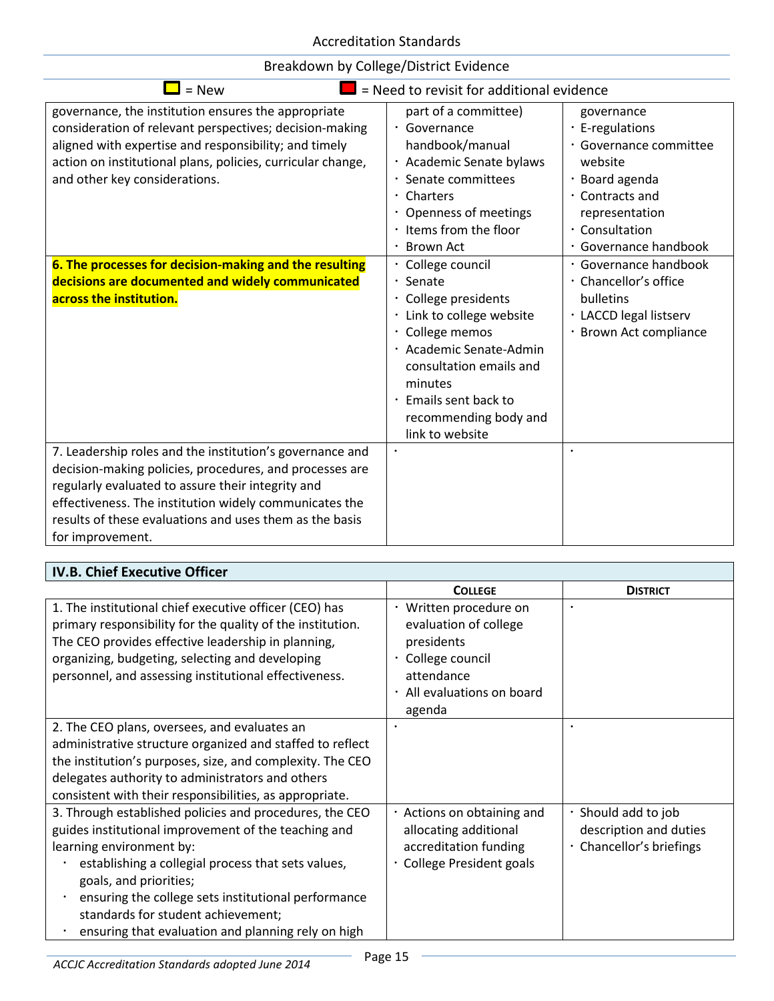| Breakdown by College/District Evidence |  |  |  |  |
|----------------------------------------|--|--|--|--|
|----------------------------------------|--|--|--|--|

| $=$ New                                                                                                                                                                                                                                                                                                                                                                                                          | = Need to revisit for additional evidence                                                                                                                                                                                                                                                                                                                           |                                                                                                                                                                                                                                                                                               |
|------------------------------------------------------------------------------------------------------------------------------------------------------------------------------------------------------------------------------------------------------------------------------------------------------------------------------------------------------------------------------------------------------------------|---------------------------------------------------------------------------------------------------------------------------------------------------------------------------------------------------------------------------------------------------------------------------------------------------------------------------------------------------------------------|-----------------------------------------------------------------------------------------------------------------------------------------------------------------------------------------------------------------------------------------------------------------------------------------------|
| governance, the institution ensures the appropriate<br>consideration of relevant perspectives; decision-making<br>aligned with expertise and responsibility; and timely<br>action on institutional plans, policies, curricular change,<br>and other key considerations.<br>6. The processes for decision-making and the resulting<br>decisions are documented and widely communicated<br>across the institution. | part of a committee)<br>· Governance<br>handbook/manual<br>· Academic Senate bylaws<br>Senate committees<br>Charters<br>• Openness of meetings<br>· Items from the floor<br>· Brown Act<br>College council<br>$\cdot$ Senate<br>· College presidents<br>Link to college website<br>· College memos<br>· Academic Senate-Admin<br>consultation emails and<br>minutes | governance<br>$\cdot$ E-regulations<br>· Governance committee<br>website<br>· Board agenda<br>· Contracts and<br>representation<br>· Consultation<br>· Governance handbook<br>· Governance handbook<br>· Chancellor's office<br>bulletins<br>· LACCD legal listserv<br>· Brown Act compliance |
|                                                                                                                                                                                                                                                                                                                                                                                                                  | · Emails sent back to<br>recommending body and<br>link to website                                                                                                                                                                                                                                                                                                   |                                                                                                                                                                                                                                                                                               |
| 7. Leadership roles and the institution's governance and<br>decision-making policies, procedures, and processes are<br>regularly evaluated to assure their integrity and<br>effectiveness. The institution widely communicates the<br>results of these evaluations and uses them as the basis<br>for improvement.                                                                                                |                                                                                                                                                                                                                                                                                                                                                                     | $\bullet$                                                                                                                                                                                                                                                                                     |

| <b>IV.B. Chief Executive Officer</b>                                                                                                                                                                                                                                                                                                                                           |                                                                                                                                          |                                                                           |  |
|--------------------------------------------------------------------------------------------------------------------------------------------------------------------------------------------------------------------------------------------------------------------------------------------------------------------------------------------------------------------------------|------------------------------------------------------------------------------------------------------------------------------------------|---------------------------------------------------------------------------|--|
|                                                                                                                                                                                                                                                                                                                                                                                | <b>COLLEGE</b>                                                                                                                           | <b>DISTRICT</b>                                                           |  |
| 1. The institutional chief executive officer (CEO) has<br>primary responsibility for the quality of the institution.<br>The CEO provides effective leadership in planning,<br>organizing, budgeting, selecting and developing<br>personnel, and assessing institutional effectiveness.                                                                                         | · Written procedure on<br>evaluation of college<br>presidents<br>· College council<br>attendance<br>· All evaluations on board<br>agenda |                                                                           |  |
| 2. The CEO plans, oversees, and evaluates an<br>administrative structure organized and staffed to reflect<br>the institution's purposes, size, and complexity. The CEO<br>delegates authority to administrators and others<br>consistent with their responsibilities, as appropriate.                                                                                          |                                                                                                                                          |                                                                           |  |
| 3. Through established policies and procedures, the CEO<br>guides institutional improvement of the teaching and<br>learning environment by:<br>establishing a collegial process that sets values,<br>goals, and priorities;<br>ensuring the college sets institutional performance<br>standards for student achievement;<br>ensuring that evaluation and planning rely on high | · Actions on obtaining and<br>allocating additional<br>accreditation funding<br><b>College President goals</b>                           | · Should add to job<br>description and duties<br>· Chancellor's briefings |  |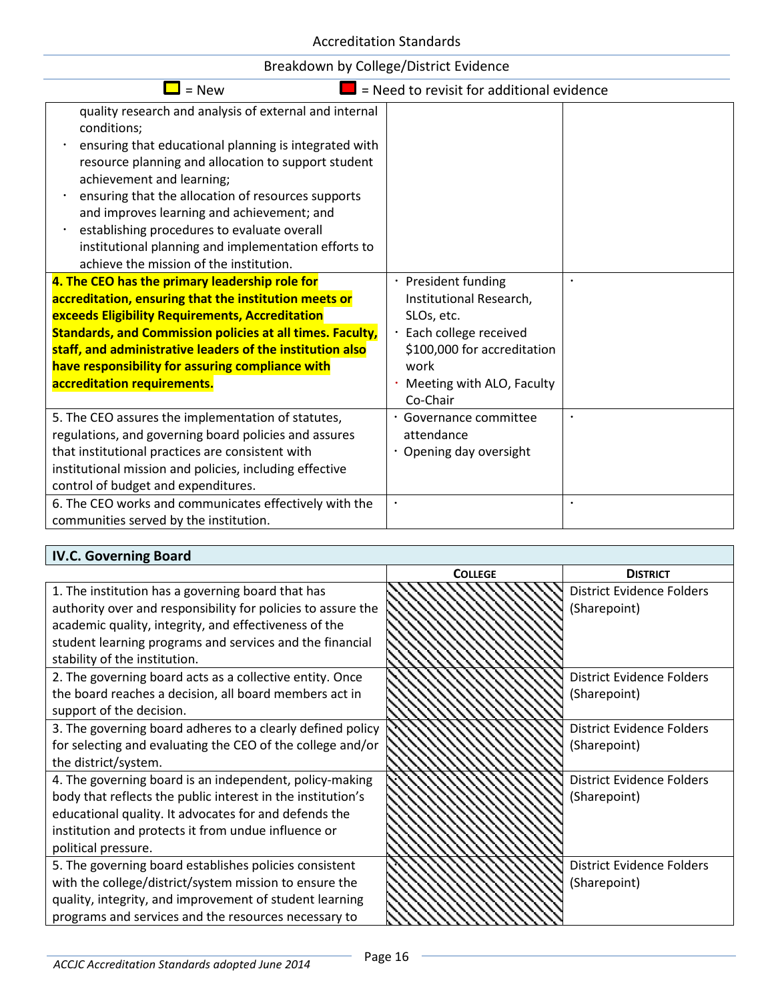| $=$ New                                                                                                                                                                                                                                                                                                                                                                                                                                                                  | = Need to revisit for additional evidence                                                                                                                               |                        |
|--------------------------------------------------------------------------------------------------------------------------------------------------------------------------------------------------------------------------------------------------------------------------------------------------------------------------------------------------------------------------------------------------------------------------------------------------------------------------|-------------------------------------------------------------------------------------------------------------------------------------------------------------------------|------------------------|
| quality research and analysis of external and internal<br>conditions;<br>ensuring that educational planning is integrated with<br>resource planning and allocation to support student<br>achievement and learning;<br>ensuring that the allocation of resources supports<br>and improves learning and achievement; and<br>establishing procedures to evaluate overall<br>institutional planning and implementation efforts to<br>achieve the mission of the institution. |                                                                                                                                                                         |                        |
| 4. The CEO has the primary leadership role for<br>accreditation, ensuring that the institution meets or<br>exceeds Eligibility Requirements, Accreditation<br><b>Standards, and Commission policies at all times. Faculty,</b><br>staff, and administrative leaders of the institution also<br>have responsibility for assuring compliance with<br>accreditation requirements.                                                                                           | · President funding<br>Institutional Research,<br>SLOs, etc.<br>· Each college received<br>\$100,000 for accreditation<br>work<br>Meeting with ALO, Faculty<br>Co-Chair |                        |
| 5. The CEO assures the implementation of statutes,<br>regulations, and governing board policies and assures<br>that institutional practices are consistent with<br>institutional mission and policies, including effective<br>control of budget and expenditures.<br>6. The CEO works and communicates effectively with the<br>communities served by the institution.                                                                                                    | · Governance committee<br>attendance<br>Opening day oversight<br>$\bullet$                                                                                              | $\bullet$<br>$\bullet$ |

### **IV.C. Governing Board**

|                                                              | <b>COLLEGE</b> | <b>DISTRICT</b>                  |
|--------------------------------------------------------------|----------------|----------------------------------|
| 1. The institution has a governing board that has            |                | <b>District Evidence Folders</b> |
| authority over and responsibility for policies to assure the |                | (Sharepoint)                     |
| academic quality, integrity, and effectiveness of the        |                |                                  |
| student learning programs and services and the financial     |                |                                  |
| stability of the institution.                                |                |                                  |
| 2. The governing board acts as a collective entity. Once     |                | <b>District Evidence Folders</b> |
| the board reaches a decision, all board members act in       |                | (Sharepoint)                     |
| support of the decision.                                     |                |                                  |
| 3. The governing board adheres to a clearly defined policy   |                | <b>District Evidence Folders</b> |
| for selecting and evaluating the CEO of the college and/or   |                | (Sharepoint)                     |
| the district/system.                                         |                |                                  |
| 4. The governing board is an independent, policy-making      |                | <b>District Evidence Folders</b> |
| body that reflects the public interest in the institution's  |                | (Sharepoint)                     |
| educational quality. It advocates for and defends the        |                |                                  |
| institution and protects it from undue influence or          |                |                                  |
| political pressure.                                          |                |                                  |
| 5. The governing board establishes policies consistent       |                | District Evidence Folders        |
| with the college/district/system mission to ensure the       |                | (Sharepoint)                     |
| quality, integrity, and improvement of student learning      |                |                                  |
| programs and services and the resources necessary to         |                |                                  |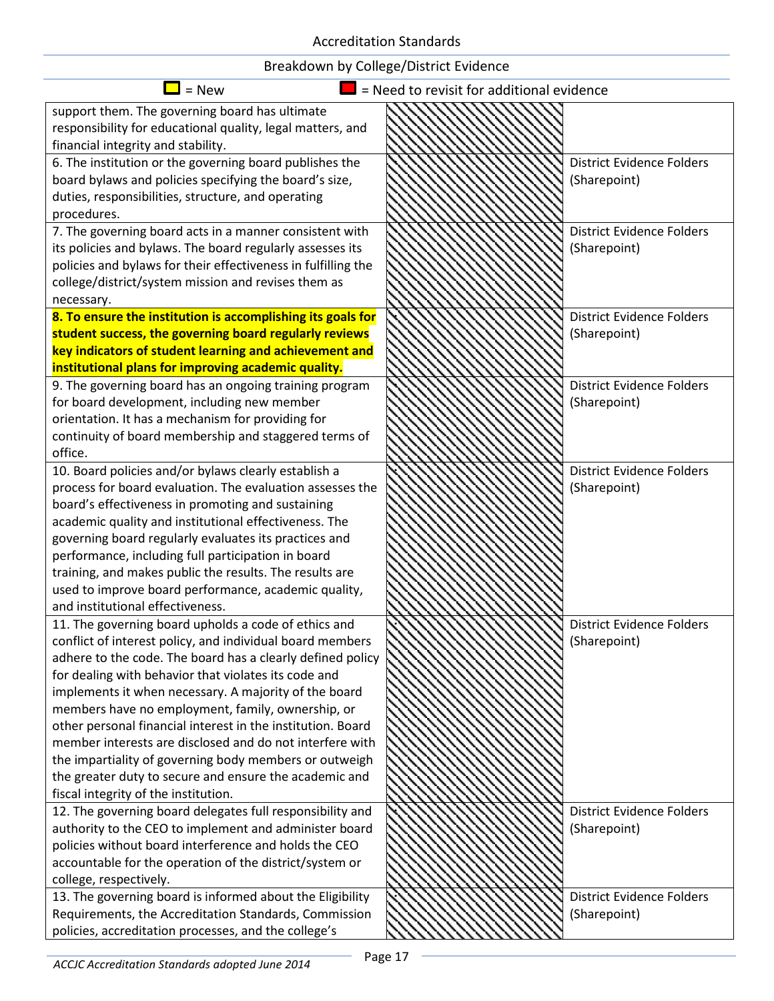| $=$ New                                                       | = Need to revisit for additional evidence |                                  |
|---------------------------------------------------------------|-------------------------------------------|----------------------------------|
| support them. The governing board has ultimate                |                                           |                                  |
| responsibility for educational quality, legal matters, and    |                                           |                                  |
| financial integrity and stability.                            |                                           |                                  |
| 6. The institution or the governing board publishes the       |                                           | <b>District Evidence Folders</b> |
| board bylaws and policies specifying the board's size,        |                                           | (Sharepoint)                     |
| duties, responsibilities, structure, and operating            |                                           |                                  |
| procedures.                                                   |                                           |                                  |
| 7. The governing board acts in a manner consistent with       |                                           | District Evidence Folders        |
| its policies and bylaws. The board regularly assesses its     |                                           | (Sharepoint)                     |
| policies and bylaws for their effectiveness in fulfilling the |                                           |                                  |
| college/district/system mission and revises them as           |                                           |                                  |
| necessary.                                                    |                                           |                                  |
| 8. To ensure the institution is accomplishing its goals for   |                                           | <b>District Evidence Folders</b> |
| student success, the governing board regularly reviews        |                                           | (Sharepoint)                     |
| key indicators of student learning and achievement and        |                                           |                                  |
| institutional plans for improving academic quality.           |                                           |                                  |
| 9. The governing board has an ongoing training program        |                                           | <b>District Evidence Folders</b> |
| for board development, including new member                   |                                           | (Sharepoint)                     |
| orientation. It has a mechanism for providing for             |                                           |                                  |
| continuity of board membership and staggered terms of         |                                           |                                  |
| office.                                                       |                                           |                                  |
| 10. Board policies and/or bylaws clearly establish a          |                                           | <b>District Evidence Folders</b> |
| process for board evaluation. The evaluation assesses the     |                                           | (Sharepoint)                     |
| board's effectiveness in promoting and sustaining             |                                           |                                  |
| academic quality and institutional effectiveness. The         |                                           |                                  |
| governing board regularly evaluates its practices and         |                                           |                                  |
| performance, including full participation in board            |                                           |                                  |
| training, and makes public the results. The results are       |                                           |                                  |
| used to improve board performance, academic quality,          |                                           |                                  |
| and institutional effectiveness.                              |                                           |                                  |
| 11. The governing board upholds a code of ethics and          |                                           | <b>District Evidence Folders</b> |
| conflict of interest policy, and individual board members     |                                           | (Sharepoint)                     |
| adhere to the code. The board has a clearly defined policy    |                                           |                                  |
| for dealing with behavior that violates its code and          |                                           |                                  |
| implements it when necessary. A majority of the board         |                                           |                                  |
| members have no employment, family, ownership, or             |                                           |                                  |
| other personal financial interest in the institution. Board   |                                           |                                  |
| member interests are disclosed and do not interfere with      |                                           |                                  |
| the impartiality of governing body members or outweigh        |                                           |                                  |
| the greater duty to secure and ensure the academic and        |                                           |                                  |
| fiscal integrity of the institution.                          |                                           |                                  |
| 12. The governing board delegates full responsibility and     |                                           | <b>District Evidence Folders</b> |
| authority to the CEO to implement and administer board        |                                           | (Sharepoint)                     |
| policies without board interference and holds the CEO         |                                           |                                  |
| accountable for the operation of the district/system or       |                                           |                                  |
| college, respectively.                                        |                                           |                                  |
| 13. The governing board is informed about the Eligibility     |                                           | <b>District Evidence Folders</b> |
| Requirements, the Accreditation Standards, Commission         |                                           | (Sharepoint)                     |
| policies, accreditation processes, and the college's          |                                           |                                  |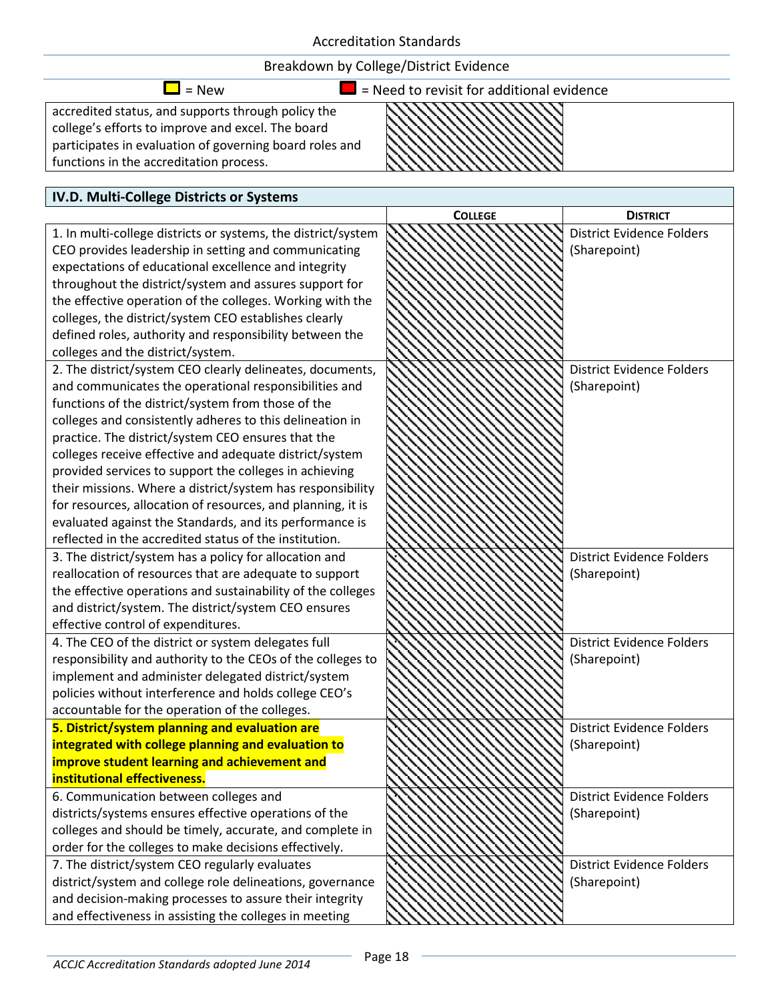

#### **IV.D. Multi-College Districts or Systems** 1. In multi-college districts or systems, the district/system CEO provides leadership in setting and communicating expectations of educational excellence and integrity throughout the district/system and assures support for the effective operation of the colleges. Working with the colleges, the district/system CEO establishes clearly defined roles, authority and responsibility between the colleges and the district/system. 2. The district/system CEO clearly delineates, documents, and communicates the operational responsibilities and functions of the district/system from those of the colleges and consistently adheres to this delineation in practice. The district/system CEO ensures that the colleges receive effective and adequate district/system provided services to support the colleges in achieving

their missions. Where a district/system has responsibility for resources, allocation of resources, and planning, it is evaluated against the Standards, and its performance is reflected in the accredited status of the institution. 3. The district/system has a policy for allocation and reallocation of resources that are adequate to support the effective operations and sustainability of the colleges and district/system. The district/system CEO ensures effective control of expenditures. 4. The CEO of the district or system delegates full responsibility and authority to the CEOs of the colleges to implement and administer delegated district/system

policies without interference and holds college CEO's accountable for the operation of the colleges. **5. District/system planning and evaluation are integrated with college planning and evaluation to improve student learning and achievement and institutional effectiveness.**

6. Communication between colleges and districts/systems ensures effective operations of the colleges and should be timely, accurate, and complete in order for the colleges to make decisions effectively.

7. The district/system CEO regularly evaluates district/system and college role delineations, governance and decision-making processes to assure their integrity and effectiveness in assisting the colleges in meeting